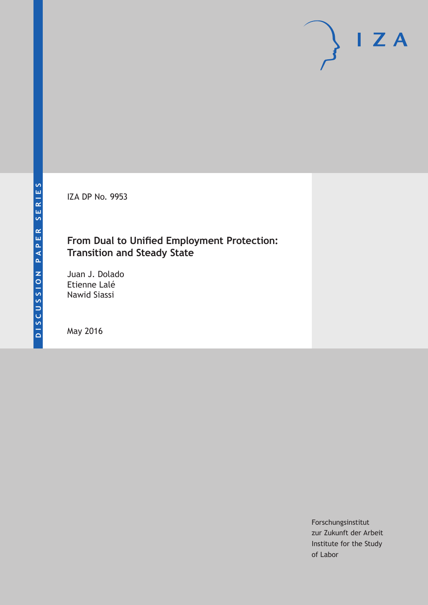IZA DP No. 9953

# **From Dual to Unified Employment Protection: Transition and Steady State**

Juan J. Dolado Etienne Lalé Nawid Siassi

May 2016

Forschungsinstitut zur Zukunft der Arbeit Institute for the Study of Labor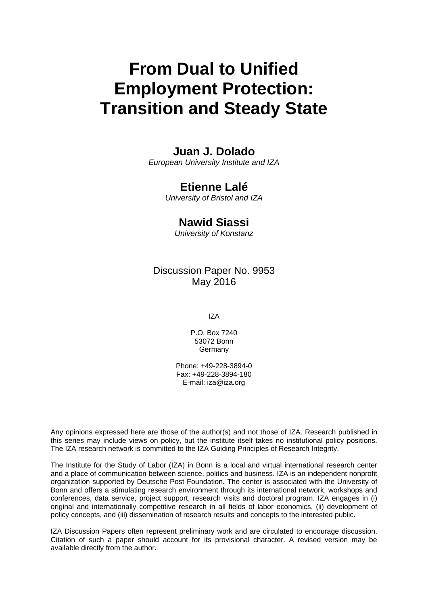# **From Dual to Unified Employment Protection: Transition and Steady State**

# **Juan J. Dolado**

*European University Institute and IZA* 

# **Etienne Lalé**

*University of Bristol and IZA* 

# **Nawid Siassi**

*University of Konstanz*

# Discussion Paper No. 9953 May 2016

IZA

P.O. Box 7240 53072 Bonn **Germany** 

Phone: +49-228-3894-0 Fax: +49-228-3894-180 E-mail: iza@iza.org

Any opinions expressed here are those of the author(s) and not those of IZA. Research published in this series may include views on policy, but the institute itself takes no institutional policy positions. The IZA research network is committed to the IZA Guiding Principles of Research Integrity.

The Institute for the Study of Labor (IZA) in Bonn is a local and virtual international research center and a place of communication between science, politics and business. IZA is an independent nonprofit organization supported by Deutsche Post Foundation. The center is associated with the University of Bonn and offers a stimulating research environment through its international network, workshops and conferences, data service, project support, research visits and doctoral program. IZA engages in (i) original and internationally competitive research in all fields of labor economics, (ii) development of policy concepts, and (iii) dissemination of research results and concepts to the interested public.

IZA Discussion Papers often represent preliminary work and are circulated to encourage discussion. Citation of such a paper should account for its provisional character. A revised version may be available directly from the author.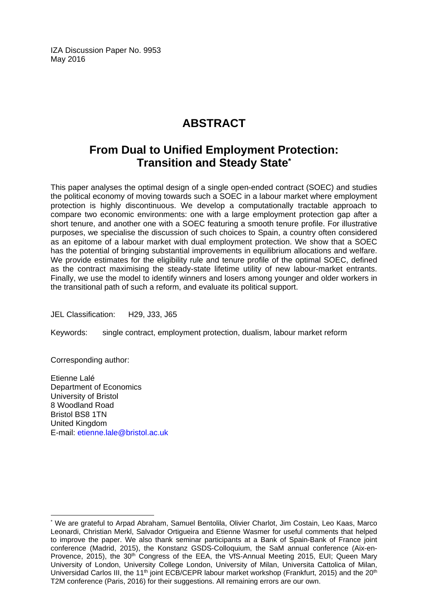IZA Discussion Paper No. 9953 May 2016

# **ABSTRACT**

# **From Dual to Unified Employment Protection: Transition and Steady State\***

This paper analyses the optimal design of a single open-ended contract (SOEC) and studies the political economy of moving towards such a SOEC in a labour market where employment protection is highly discontinuous. We develop a computationally tractable approach to compare two economic environments: one with a large employment protection gap after a short tenure, and another one with a SOEC featuring a smooth tenure profile. For illustrative purposes, we specialise the discussion of such choices to Spain, a country often considered as an epitome of a labour market with dual employment protection. We show that a SOEC has the potential of bringing substantial improvements in equilibrium allocations and welfare. We provide estimates for the eligibility rule and tenure profile of the optimal SOEC, defined as the contract maximising the steady-state lifetime utility of new labour-market entrants. Finally, we use the model to identify winners and losers among younger and older workers in the transitional path of such a reform, and evaluate its political support.

JEL Classification: H29, J33, J65

Keywords: single contract, employment protection, dualism, labour market reform

Corresponding author:

 $\overline{\phantom{a}}$ 

Etienne Lalé Department of Economics University of Bristol 8 Woodland Road Bristol BS8 1TN United Kingdom E-mail: etienne.lale@bristol.ac.uk

<sup>\*</sup> We are grateful to Arpad Abraham, Samuel Bentolila, Olivier Charlot, Jim Costain, Leo Kaas, Marco Leonardi, Christian Merkl, Salvador Ortigueira and Etienne Wasmer for useful comments that helped to improve the paper. We also thank seminar participants at a Bank of Spain-Bank of France joint conference (Madrid, 2015), the Konstanz GSDS-Colloquium, the SaM annual conference (Aix-en-Provence, 2015), the 30<sup>th</sup> Congress of the EEA, the VfS-Annual Meeting 2015, EUI; Queen Marv University of London, University College London, University of Milan, Universita Cattolica of Milan, Universidad Carlos III, the 11<sup>th</sup> joint ECB/CEPR labour market workshop (Frankfurt, 2015) and the 20<sup>th</sup> T2M conference (Paris, 2016) for their suggestions. All remaining errors are our own.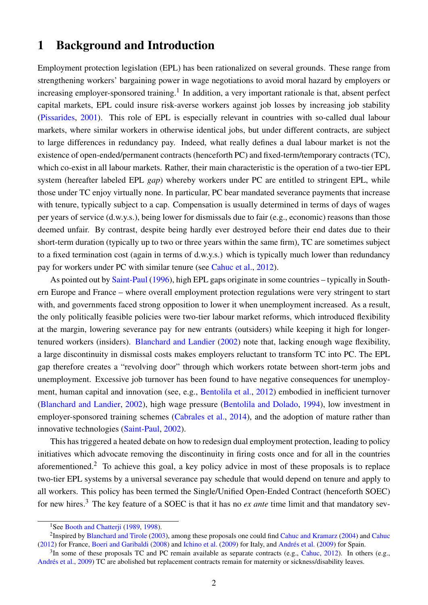# 1 Background and Introduction

Employment protection legislation (EPL) has been rationalized on several grounds. These range from strengthening workers' bargaining power in wage negotiations to avoid moral hazard by employers or increasing employer-sponsored training.<sup>[1](#page--1-0)</sup> In addition, a very important rationale is that, absent perfect capital markets, EPL could insure risk-averse workers against job losses by increasing job stability [\(Pissarides,](#page-36-0) [2001\)](#page-36-0). This role of EPL is especially relevant in countries with so-called dual labour markets, where similar workers in otherwise identical jobs, but under different contracts, are subject to large differences in redundancy pay. Indeed, what really defines a dual labour market is not the existence of open-ended/permanent contracts (henceforth PC) and fixed-term/temporary contracts (TC), which co-exist in all labour markets. Rather, their main characteristic is the operation of a two-tier EPL system (hereafter labeled EPL *gap*) whereby workers under PC are entitled to stringent EPL, while those under TC enjoy virtually none. In particular, PC bear mandated severance payments that increase with tenure, typically subject to a cap. Compensation is usually determined in terms of days of wages per years of service (d.w.y.s.), being lower for dismissals due to fair (e.g., economic) reasons than those deemed unfair. By contrast, despite being hardly ever destroyed before their end dates due to their short-term duration (typically up to two or three years within the same firm), TC are sometimes subject to a fixed termination cost (again in terms of d.w.y.s.) which is typically much lower than redundancy pay for workers under PC with similar tenure (see [Cahuc et al.,](#page-36-1) [2012\)](#page-36-1).

As pointed out by [Saint-Paul](#page-37-0) [\(1996\)](#page-37-0), high EPL gaps originate in some countries – typically in Southern Europe and France – where overall employment protection regulations were very stringent to start with, and governments faced strong opposition to lower it when unemployment increased. As a result, the only politically feasible policies were two-tier labour market reforms, which introduced flexibility at the margin, lowering severance pay for new entrants (outsiders) while keeping it high for longertenured workers (insiders). [Blanchard and Landier](#page-35-0) [\(2002\)](#page-35-0) note that, lacking enough wage flexibility, a large discontinuity in dismissal costs makes employers reluctant to transform TC into PC. The EPL gap therefore creates a "revolving door" through which workers rotate between short-term jobs and unemployment. Excessive job turnover has been found to have negative consequences for unemployment, human capital and innovation (see, e.g., [Bentolila et al.,](#page-35-1) [2012\)](#page-35-1) embodied in inefficient turnover [\(Blanchard and Landier,](#page-35-0) [2002\)](#page-35-0), high wage pressure [\(Bentolila and Dolado,](#page-35-2) [1994\)](#page-35-2), low investment in employer-sponsored training schemes [\(Cabrales et al.,](#page-36-2) [2014\)](#page-36-2), and the adoption of mature rather than innovative technologies [\(Saint-Paul,](#page-37-1) [2002\)](#page-37-1).

This has triggered a heated debate on how to redesign dual employment protection, leading to policy initiatives which advocate removing the discontinuity in firing costs once and for all in the countries aforementioned.[2](#page--1-0) To achieve this goal, a key policy advice in most of these proposals is to replace two-tier EPL systems by a universal severance pay schedule that would depend on tenure and apply to all workers. This policy has been termed the Single/Unified Open-Ended Contract (henceforth SOEC) for new hires.[3](#page--1-0) The key feature of a SOEC is that it has no *ex ante* time limit and that mandatory sev-

<sup>&</sup>lt;sup>1</sup>See Booth and Chatterii [\(1989,](#page-35-3) [1998\)](#page-35-4).

<sup>&</sup>lt;sup>2</sup> Inspired by [Blanchard and Tirole](#page-35-5) [\(2003\)](#page-35-5), among these proposals one could find [Cahuc and Kramarz](#page-36-3) [\(2004\)](#page-36-3) and [Cahuc](#page-36-4) [\(2012\)](#page-36-4) for France, [Boeri and Garibaldi](#page-35-6) [\(2008\)](#page-35-6) and [Ichino et al.](#page-36-5) [\(2009\)](#page-36-5) for Italy, and [Andrés et al.](#page-35-7) [\(2009\)](#page-35-7) for Spain.

 $3$ In some of these proposals TC and PC remain available as separate contracts (e.g., [Cahuc,](#page-36-4) [2012\)](#page-36-4). In others (e.g., [Andrés et al.,](#page-35-7) [2009\)](#page-35-7) TC are abolished but replacement contracts remain for maternity or sickness/disability leaves.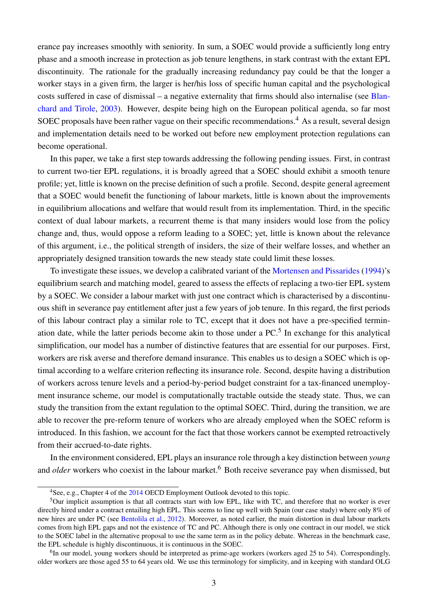erance pay increases smoothly with seniority. In sum, a SOEC would provide a sufficiently long entry phase and a smooth increase in protection as job tenure lengthens, in stark contrast with the extant EPL discontinuity. The rationale for the gradually increasing redundancy pay could be that the longer a worker stays in a given firm, the larger is her/his loss of specific human capital and the psychological costs suffered in case of dismissal – a negative externality that firms should also internalise (see [Blan](#page-35-5)[chard and Tirole,](#page-35-5) [2003\)](#page-35-5). However, despite being high on the European political agenda, so far most SOEC proposals have been rather vague on their specific recommendations.<sup>[4](#page--1-0)</sup> As a result, several design and implementation details need to be worked out before new employment protection regulations can become operational.

In this paper, we take a first step towards addressing the following pending issues. First, in contrast to current two-tier EPL regulations, it is broadly agreed that a SOEC should exhibit a smooth tenure profile; yet, little is known on the precise definition of such a profile. Second, despite general agreement that a SOEC would benefit the functioning of labour markets, little is known about the improvements in equilibrium allocations and welfare that would result from its implementation. Third, in the specific context of dual labour markets, a recurrent theme is that many insiders would lose from the policy change and, thus, would oppose a reform leading to a SOEC; yet, little is known about the relevance of this argument, i.e., the political strength of insiders, the size of their welfare losses, and whether an appropriately designed transition towards the new steady state could limit these losses.

To investigate these issues, we develop a calibrated variant of the [Mortensen and Pissarides](#page-36-6) [\(1994\)](#page-36-6)'s equilibrium search and matching model, geared to assess the effects of replacing a two-tier EPL system by a SOEC. We consider a labour market with just one contract which is characterised by a discontinuous shift in severance pay entitlement after just a few years of job tenure. In this regard, the first periods of this labour contract play a similar role to TC, except that it does not have a pre-specified termination date, while the latter periods become akin to those under a  $PC<sup>5</sup>$  $PC<sup>5</sup>$  $PC<sup>5</sup>$  In exchange for this analytical simplification, our model has a number of distinctive features that are essential for our purposes. First, workers are risk averse and therefore demand insurance. This enables us to design a SOEC which is optimal according to a welfare criterion reflecting its insurance role. Second, despite having a distribution of workers across tenure levels and a period-by-period budget constraint for a tax-financed unemployment insurance scheme, our model is computationally tractable outside the steady state. Thus, we can study the transition from the extant regulation to the optimal SOEC. Third, during the transition, we are able to recover the pre-reform tenure of workers who are already employed when the SOEC reform is introduced. In this fashion, we account for the fact that those workers cannot be exempted retroactively from their accrued-to-date rights.

In the environment considered, EPL plays an insurance role through a key distinction between *young* and *older* workers who coexist in the labour market.<sup>[6](#page--1-0)</sup> Both receive severance pay when dismissed, but

<sup>&</sup>lt;sup>4</sup>See, e.g., Chapter 4 of the [2014](#page-36-7) OECD Employment Outlook devoted to this topic.

 $5$ Our implicit assumption is that all contracts start with low EPL, like with TC, and therefore that no worker is ever directly hired under a contract entailing high EPL. This seems to line up well with Spain (our case study) where only 8% of new hires are under PC (see [Bentolila et al.,](#page-35-1) [2012\)](#page-35-1). Moreover, as noted earlier, the main distortion in dual labour markets comes from high EPL gaps and not the existence of TC and PC. Although there is only one contract in our model, we stick to the SOEC label in the alternative proposal to use the same term as in the policy debate. Whereas in the benchmark case, the EPL schedule is highly discontinuous, it is continuous in the SOEC.

<sup>&</sup>lt;sup>6</sup>In our model, young workers should be interpreted as prime-age workers (workers aged 25 to 54). Correspondingly, older workers are those aged 55 to 64 years old. We use this terminology for simplicity, and in keeping with standard OLG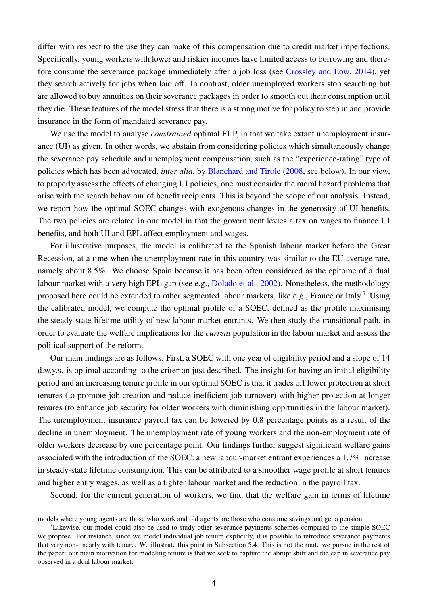differ with respect to the use they can make of this compensation due to credit market imperfections. Specifically, young workers with lower and riskier incomes have limited access to borrowing and therefore consume the severance package immediately after a job loss (see [Crossley and Low,](#page-36-8) [2014\)](#page-36-8), yet they search actively for jobs when laid off. In contrast, older unemployed workers stop searching but are allowed to buy annuities on their severance packages in order to smooth out their consumption until they die. These features of the model stress that there is a strong motive for policy to step in and provide insurance in the form of mandated severance pay.

We use the model to analyse *constrained* optimal ELP, in that we take extant unemployment insurance (UI) as given. In other words, we abstain from considering policies which simultaneously change the severance pay schedule and unemployment compensation, such as the "experience-rating" type of policies which has been advocated, *inter alia*, by [Blanchard and Tirole](#page-35-8) [\(2008,](#page-35-8) see below). In our view, to properly assess the effects of changing UI policies, one must consider the moral hazard problems that arise with the search behaviour of benefit recipients. This is beyond the scope of our analysis. Instead, we report how the optimal SOEC changes with exogenous changes in the generosity of UI benefits. The two policies are related in our model in that the government levies a tax on wages to finance UI benefits, and both UI and EPL affect employment and wages.

For illustrative purposes, the model is calibrated to the Spanish labour market before the Great Recession, at a time when the unemployment rate in this country was similar to the EU average rate, namely about 8.5%. We choose Spain because it has been often considered as the epitome of a dual labour market with a very high EPL gap (see e.g., [Dolado et al.,](#page-36-9) [2002\)](#page-36-9). Nonetheless, the methodology proposed here could be extended to other segmented labour markets, like e.g., France or Italy.<sup>[7](#page--1-0)</sup> Using the calibrated model, we compute the optimal profile of a SOEC, defined as the profile maximising the steady-state lifetime utility of new labour-market entrants. We then study the transitional path, in order to evaluate the welfare implications for the *current* population in the labour market and assess the political support of the reform.

Our main findings are as follows. First, a SOEC with one year of eligibility period and a slope of 14 d.w.y.s. is optimal according to the criterion just described. The insight for having an initial eligibility period and an increasing tenure profile in our optimal SOEC is that it trades off lower protection at short tenures (to promote job creation and reduce inefficient job turnover) with higher protection at longer tenures (to enhance job security for older workers with diminishing opprtunities in the labour market). The unemployment insurance payroll tax can be lowered by 0.8 percentage points as a result of the decline in unemployment. The unemployment rate of young workers and the non-employment rate of older workers decrease by one percentage point. Our findings further suggest significant welfare gains associated with the introduction of the SOEC: a new labour-market entrant experiences a 1.7% increase in steady-state lifetime consumption. This can be attributed to a smoother wage profile at short tenures and higher entry wages, as well as a tighter labour market and the reduction in the payroll tax.

Second, for the current generation of workers, we find that the welfare gain in terms of lifetime

models where young agents are those who work and old agents are those who consume savings and get a pension.

<sup>&</sup>lt;sup>7</sup>Likewise, our model could also be used to study other severance payments schemes compared to the simple SOEC we propose. For instance, since we model individual job tenure explicitly, it is possible to introduce severance payments that vary non-linearly with tenure. We illustrate this point in Subsection [5.4.](#page-30-0) This is not the route we pursue in the rest of the paper: our main motivation for modeling tenure is that we seek to capture the abrupt shift and the cap in severance pay observed in a dual labour market.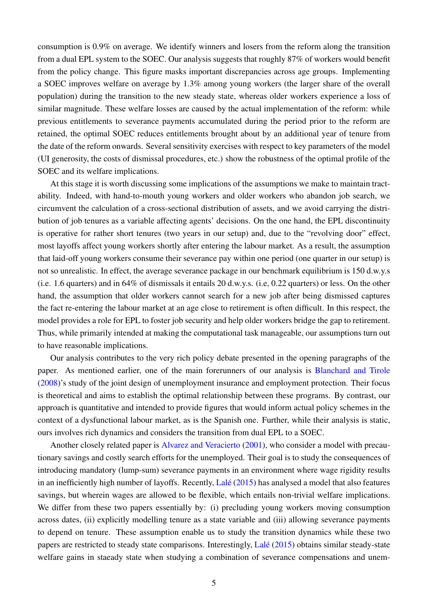consumption is 0.9% on average. We identify winners and losers from the reform along the transition from a dual EPL system to the SOEC. Our analysis suggests that roughly 87% of workers would benefit from the policy change. This figure masks important discrepancies across age groups. Implementing a SOEC improves welfare on average by 1.3% among young workers (the larger share of the overall population) during the transition to the new steady state, whereas older workers experience a loss of similar magnitude. These welfare losses are caused by the actual implementation of the reform: while previous entitlements to severance payments accumulated during the period prior to the reform are retained, the optimal SOEC reduces entitlements brought about by an additional year of tenure from the date of the reform onwards. Several sensitivity exercises with respect to key parameters of the model (UI generosity, the costs of dismissal procedures, etc.) show the robustness of the optimal profile of the SOEC and its welfare implications.

At this stage it is worth discussing some implications of the assumptions we make to maintain tractability. Indeed, with hand-to-mouth young workers and older workers who abandon job search, we circumvent the calculation of a cross-sectional distribution of assets, and we avoid carrying the distribution of job tenures as a variable affecting agents' decisions. On the one hand, the EPL discontinuity is operative for rather short tenures (two years in our setup) and, due to the "revolving door" effect, most layoffs affect young workers shortly after entering the labour market. As a result, the assumption that laid-off young workers consume their severance pay within one period (one quarter in our setup) is not so unrealistic. In effect, the average severance package in our benchmark equilibrium is 150 d.w.y.s (i.e. 1.6 quarters) and in 64% of dismissals it entails 20 d.w.y.s. (i.e, 0.22 quarters) or less. On the other hand, the assumption that older workers cannot search for a new job after being dismissed captures the fact re-entering the labour market at an age close to retirement is often difficult. In this respect, the model provides a role for EPL to foster job security and help older workers bridge the gap to retirement. Thus, while primarily intended at making the computational task manageable, our assumptions turn out to have reasonable implications.

Our analysis contributes to the very rich policy debate presented in the opening paragraphs of the paper. As mentioned earlier, one of the main forerunners of our analysis is [Blanchard and Tirole](#page-35-8) [\(2008\)](#page-35-8)'s study of the joint design of unemployment insurance and employment protection. Their focus is theoretical and aims to establish the optimal relationship between these programs. By contrast, our approach is quantitative and intended to provide figures that would inform actual policy schemes in the context of a dysfunctional labour market, as is the Spanish one. Further, while their analysis is static, ours involves rich dynamics and considers the transition from dual EPL to a SOEC.

Another closely related paper is [Alvarez and Veracierto](#page-35-9) [\(2001\)](#page-35-9), who consider a model with precautionary savings and costly search efforts for the unemployed. Their goal is to study the consequences of introducing mandatory (lump-sum) severance payments in an environment where wage rigidity results in an inefficiently high number of layoffs. Recently, [Lalé](#page-36-10) [\(2015\)](#page-36-10) has analysed a model that also features savings, but wherein wages are allowed to be flexible, which entails non-trivial welfare implications. We differ from these two papers essentially by: (i) precluding young workers moving consumption across dates, (ii) explicitly modelling tenure as a state variable and (iii) allowing severance payments to depend on tenure. These assumption enable us to study the transition dynamics while these two papers are restricted to steady state comparisons. Interestingly, [Lalé](#page-36-10) [\(2015\)](#page-36-10) obtains similar steady-state welfare gains in staeady state when studying a combination of severance compensations and unem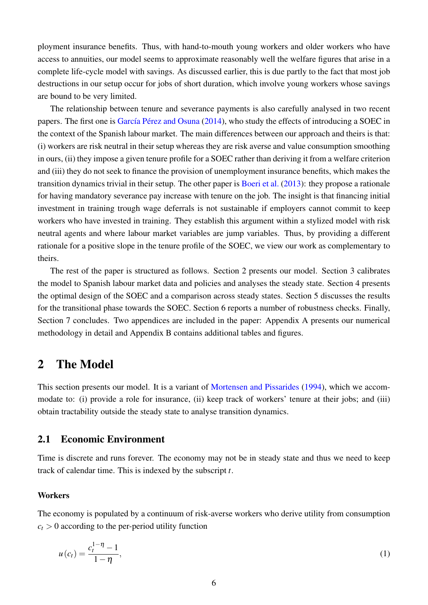ployment insurance benefits. Thus, with hand-to-mouth young workers and older workers who have access to annuities, our model seems to approximate reasonably well the welfare figures that arise in a complete life-cycle model with savings. As discussed earlier, this is due partly to the fact that most job destructions in our setup occur for jobs of short duration, which involve young workers whose savings are bound to be very limited.

The relationship between tenure and severance payments is also carefully analysed in two recent papers. The first one is [García Pérez and Osuna](#page-36-11) [\(2014\)](#page-36-11), who study the effects of introducing a SOEC in the context of the Spanish labour market. The main differences between our approach and theirs is that: (i) workers are risk neutral in their setup whereas they are risk averse and value consumption smoothing in ours, (ii) they impose a given tenure profile for a SOEC rather than deriving it from a welfare criterion and (iii) they do not seek to finance the provision of unemployment insurance benefits, which makes the transition dynamics trivial in their setup. The other paper is [Boeri et al.](#page-35-10) [\(2013\)](#page-35-10): they propose a rationale for having mandatory severance pay increase with tenure on the job. The insight is that financing initial investment in training trough wage deferrals is not sustainable if employers cannot commit to keep workers who have invested in training. They establish this argument within a stylized model with risk neutral agents and where labour market variables are jump variables. Thus, by providing a different rationale for a positive slope in the tenure profile of the SOEC, we view our work as complementary to theirs.

The rest of the paper is structured as follows. Section [2](#page-7-0) presents our model. Section [3](#page-15-0) calibrates the model to Spanish labour market data and policies and analyses the steady state. Section [4](#page-22-0) presents the optimal design of the SOEC and a comparison across steady states. Section [5](#page-27-0) discusses the results for the transitional phase towards the SOEC. Section [6](#page-33-0) reports a number of robustness checks. Finally, Section [7](#page-34-0) concludes. Two appendices are included in the paper: Appendix [A](#page-38-0) presents our numerical methodology in detail and Appendix [B](#page-41-0) contains additional tables and figures.

# <span id="page-7-0"></span>2 The Model

This section presents our model. It is a variant of [Mortensen and Pissarides](#page-36-6) [\(1994\)](#page-36-6), which we accommodate to: (i) provide a role for insurance, (ii) keep track of workers' tenure at their jobs; and (iii) obtain tractability outside the steady state to analyse transition dynamics.

### <span id="page-7-1"></span>2.1 Economic Environment

Time is discrete and runs forever. The economy may not be in steady state and thus we need to keep track of calendar time. This is indexed by the subscript *t*.

#### **Workers**

The economy is populated by a continuum of risk-averse workers who derive utility from consumption  $c_t$  > 0 according to the per-period utility function

<span id="page-7-2"></span>
$$
u(c_t) = \frac{c_t^{1-\eta} - 1}{1-\eta},
$$
\n(1)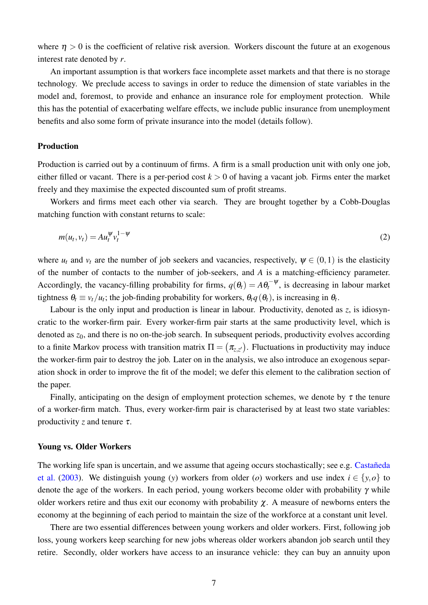where  $\eta > 0$  is the coefficient of relative risk aversion. Workers discount the future at an exogenous interest rate denoted by *r*.

An important assumption is that workers face incomplete asset markets and that there is no storage technology. We preclude access to savings in order to reduce the dimension of state variables in the model and, foremost, to provide and enhance an insurance role for employment protection. While this has the potential of exacerbating welfare effects, we include public insurance from unemployment benefits and also some form of private insurance into the model (details follow).

#### Production

Production is carried out by a continuum of firms. A firm is a small production unit with only one job, either filled or vacant. There is a per-period cost  $k > 0$  of having a vacant job. Firms enter the market freely and they maximise the expected discounted sum of profit streams.

Workers and firms meet each other via search. They are brought together by a Cobb-Douglas matching function with constant returns to scale:

$$
m(u_t, v_t) = A u_t^{\Psi} v_t^{1-\Psi} \tag{2}
$$

where  $u_t$  and  $v_t$  are the number of job seekers and vacancies, respectively,  $\psi \in (0,1)$  is the elasticity of the number of contacts to the number of job-seekers, and *A* is a matching-efficiency parameter. Accordingly, the vacancy-filling probability for firms,  $q(\theta_t) = A\theta_t^{-\psi}$ , is decreasing in labour market tightness  $\theta_t \equiv v_t/u_t$ ; the job-finding probability for workers,  $\theta_t q(\theta_t)$ , is increasing in  $\theta_t$ .

Labour is the only input and production is linear in labour. Productivity, denoted as *z*, is idiosyncratic to the worker-firm pair. Every worker-firm pair starts at the same productivity level, which is denoted as  $z_0$ , and there is no on-the-job search. In subsequent periods, productivity evolves according to a finite Markov process with transition matrix  $\Pi = (\pi_{z,z'})$ . Fluctuations in productivity may induce the worker-firm pair to destroy the job. Later on in the analysis, we also introduce an exogenous separation shock in order to improve the fit of the model; we defer this element to the calibration section of the paper.

Finally, anticipating on the design of employment protection schemes, we denote by  $\tau$  the tenure of a worker-firm match. Thus, every worker-firm pair is characterised by at least two state variables: productivity *z* and tenure  $\tau$ .

#### Young vs. Older Workers

The working life span is uncertain, and we assume that ageing occurs stochastically; see e.g. [Castañeda](#page-36-12) [et al.](#page-36-12) [\(2003\)](#page-36-12). We distinguish young (*y*) workers from older (*o*) workers and use index  $i \in \{y, o\}$  to denote the age of the workers. In each period, young workers become older with probability  $\gamma$  while older workers retire and thus exit our economy with probability  $\chi$ . A measure of newborns enters the economy at the beginning of each period to maintain the size of the workforce at a constant unit level.

There are two essential differences between young workers and older workers. First, following job loss, young workers keep searching for new jobs whereas older workers abandon job search until they retire. Secondly, older workers have access to an insurance vehicle: they can buy an annuity upon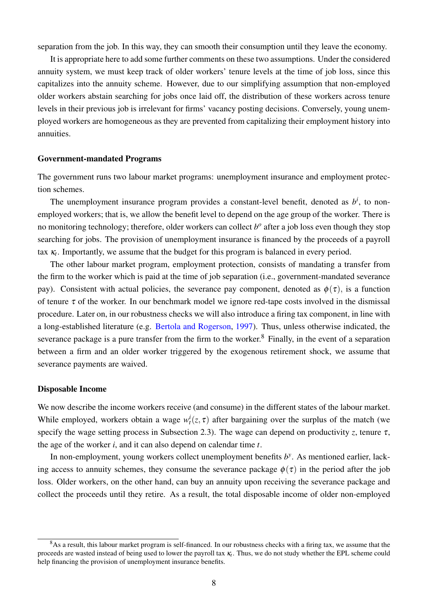separation from the job. In this way, they can smooth their consumption until they leave the economy.

It is appropriate here to add some further comments on these two assumptions. Under the considered annuity system, we must keep track of older workers' tenure levels at the time of job loss, since this capitalizes into the annuity scheme. However, due to our simplifying assumption that non-employed older workers abstain searching for jobs once laid off, the distribution of these workers across tenure levels in their previous job is irrelevant for firms' vacancy posting decisions. Conversely, young unemployed workers are homogeneous as they are prevented from capitalizing their employment history into annuities.

#### Government-mandated Programs

The government runs two labour market programs: unemployment insurance and employment protection schemes.

The unemployment insurance program provides a constant-level benefit, denoted as  $b^i$ , to nonemployed workers; that is, we allow the benefit level to depend on the age group of the worker. There is no monitoring technology; therefore, older workers can collect *b o* after a job loss even though they stop searching for jobs. The provision of unemployment insurance is financed by the proceeds of a payroll tax  $\kappa_t$ . Importantly, we assume that the budget for this program is balanced in every period.

The other labour market program, employment protection, consists of mandating a transfer from the firm to the worker which is paid at the time of job separation (i.e., government-mandated severance pay). Consistent with actual policies, the severance pay component, denoted as  $\phi(\tau)$ , is a function of tenure  $\tau$  of the worker. In our benchmark model we ignore red-tape costs involved in the dismissal procedure. Later on, in our robustness checks we will also introduce a firing tax component, in line with a long-established literature (e.g. [Bertola and Rogerson,](#page-35-11) [1997\)](#page-35-11). Thus, unless otherwise indicated, the severance package is a pure transfer from the firm to the worker.<sup>[8](#page--1-0)</sup> Finally, in the event of a separation between a firm and an older worker triggered by the exogenous retirement shock, we assume that severance payments are waived.

#### Disposable Income

We now describe the income workers receive (and consume) in the different states of the labour market. While employed, workers obtain a wage  $w_t^i(z, \tau)$  after bargaining over the surplus of the match (we specify the wage setting process in Subsection [2.3\)](#page-11-0). The wage can depend on productivity *z*, tenure  $\tau$ , the age of the worker *i*, and it can also depend on calendar time *t*.

In non-employment, young workers collect unemployment benefits  $b<sup>y</sup>$ . As mentioned earlier, lacking access to annuity schemes, they consume the severance package  $\phi(\tau)$  in the period after the job loss. Older workers, on the other hand, can buy an annuity upon receiving the severance package and collect the proceeds until they retire. As a result, the total disposable income of older non-employed

 $8$ As a result, this labour market program is self-financed. In our robustness checks with a firing tax, we assume that the proceeds are wasted instead of being used to lower the payroll tax κ*<sup>t</sup>* . Thus, we do not study whether the EPL scheme could help financing the provision of unemployment insurance benefits.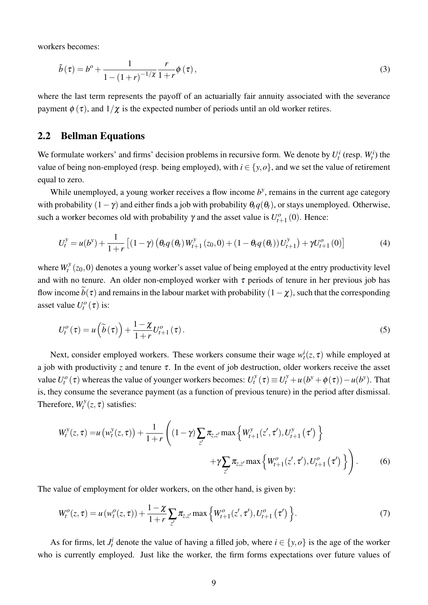workers becomes:

$$
\tilde{b}(\tau) = b^o + \frac{1}{1 - (1+r)^{-1/\chi}} \frac{r}{1+r} \phi(\tau),\tag{3}
$$

where the last term represents the payoff of an actuarially fair annuity associated with the severance payment  $\phi(\tau)$ , and  $1/\chi$  is the expected number of periods until an old worker retires.

#### 2.2 Bellman Equations

We formulate workers' and firms' decision problems in recursive form. We denote by  $U_t^i$  (resp.  $W_t^i$ ) the value of being non-employed (resp. being employed), with  $i \in \{y, o\}$ , and we set the value of retirement equal to zero.

While unemployed, a young worker receives a flow income  $b<sup>y</sup>$ , remains in the current age category with probability  $(1 - \gamma)$  and either finds a job with probability  $\theta_t q(\theta_t)$ , or stays unemployed. Otherwise, such a worker becomes old with probability  $\gamma$  and the asset value is  $U_t^o$  $t_{t+1}^{to}(0)$ . Hence:

<span id="page-10-0"></span>
$$
U_t^y = u(b^y) + \frac{1}{1+r} \left[ (1-\gamma) \left( \theta_t q(\theta_t) W_{t+1}^y(z_0,0) + (1-\theta_t q(\theta_t)) U_{t+1}^y \right) + \gamma U_{t+1}^o(0) \right] \tag{4}
$$

where  $W_t^y$  $t^y$  ( $z_0$ ,0) denotes a young worker's asset value of being employed at the entry productivity level and with no tenure. An older non-employed worker with  $\tau$  periods of tenure in her previous job has flow income  $\widetilde{b}(\tau)$  and remains in the labour market with probability  $(1-\chi)$ , such that the corresponding asset value  $U_t^o(\tau)$  is:

<span id="page-10-1"></span>
$$
U_t^o(\tau) = u\left(\widetilde{b}(\tau)\right) + \frac{1-\chi}{1+r} U_{t+1}^o(\tau).
$$
\n<sup>(5)</sup>

Next, consider employed workers. These workers consume their wage  $w_t^i(z, \tau)$  while employed at a job with productivity *z* and tenure  $\tau$ . In the event of job destruction, older workers receive the asset value  $U_t^o(\tau)$  whereas the value of younger workers becomes:  $U_t^y$  $U_t^y(\tau) \equiv U_t^y + u(b^y + \phi(\tau)) - u(b^y)$ . That is, they consume the severance payment (as a function of previous tenure) in the period after dismissal. Therefore,  $W_t^y$  $t^{y}(z,\tau)$  satisfies:

<span id="page-10-3"></span>
$$
W_t^y(z, \tau) = u(w_t^y(z, \tau)) + \frac{1}{1+r} \left( (1-\gamma) \sum_{z'} \pi_{z, z'} \max \left\{ W_{t+1}^y(z', \tau'), U_{t+1}^y(\tau') \right\} + \gamma \sum_{z'} \pi_{z, z'} \max \left\{ W_{t+1}^o(z', \tau'), U_{t+1}^o(\tau') \right\} \right). \tag{6}
$$

The value of employment for older workers, on the other hand, is given by:

<span id="page-10-2"></span>
$$
W_t^o(z,\tau) = u(w_t^o(z,\tau)) + \frac{1-\chi}{1+r} \sum_{z'} \pi_{z,z'} \max\left\{W_{t+1}^o(z',\tau'), U_{t+1}^o(\tau')\right\}.
$$
 (7)

As for firms, let  $J_t^i$  denote the value of having a filled job, where  $i \in \{y, o\}$  is the age of the worker who is currently employed. Just like the worker, the firm forms expectations over future values of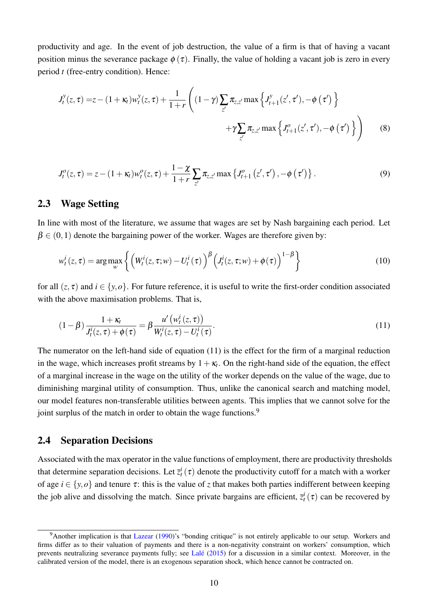productivity and age. In the event of job destruction, the value of a firm is that of having a vacant position minus the severance package  $\phi(\tau)$ . Finally, the value of holding a vacant job is zero in every period *t* (free-entry condition). Hence:

<span id="page-11-3"></span>
$$
J_t^y(z,\tau) = z - (1 + \kappa_t) w_t^y(z,\tau) + \frac{1}{1+r} \left( (1-\gamma) \sum_{z'} \pi_{z,z'} \max \left\{ J_{t+1}^y(z',\tau'), -\phi(\tau') \right\} + \gamma \sum_{z'} \pi_{z,z'} \max \left\{ J_{t+1}^o(z',\tau'), -\phi(\tau') \right\} \right)
$$
(8)

<span id="page-11-2"></span>
$$
J_t^o(z,\tau) = z - (1+\kappa_t) w_t^o(z,\tau) + \frac{1-\chi}{1+r} \sum_{z'} \pi_{z,z'} \max \left\{ J_{t+1}^o(z',\tau') \right\}. \tag{9}
$$

### <span id="page-11-0"></span>2.3 Wage Setting

In line with most of the literature, we assume that wages are set by Nash bargaining each period. Let  $\beta \in (0,1)$  denote the bargaining power of the worker. Wages are therefore given by:

$$
w_t^i(z,\tau) = \arg\max_{w} \left\{ \left( W_t^i(z,\tau;w) - U_t^i(\tau) \right)^\beta \left( J_t^i(z,\tau;w) + \phi(\tau) \right)^{1-\beta} \right\}
$$
(10)

for all  $(z, \tau)$  and  $i \in \{y, o\}$ . For future reference, it is useful to write the first-order condition associated with the above maximisation problems. That is,

<span id="page-11-1"></span>
$$
(1 - \beta) \frac{1 + \kappa_t}{J_t^i(z, \tau) + \phi(\tau)} = \beta \frac{u' \left(w_t^i(z, \tau)\right)}{W_t^i(z, \tau) - U_t^i(\tau)}.
$$
\n(11)

The numerator on the left-hand side of equation [\(11\)](#page-11-1) is the effect for the firm of a marginal reduction in the wage, which increases profit streams by  $1 + \kappa_t$ . On the right-hand side of the equation, the effect of a marginal increase in the wage on the utility of the worker depends on the value of the wage, due to diminishing marginal utility of consumption. Thus, unlike the canonical search and matching model, our model features non-transferable utilities between agents. This implies that we cannot solve for the joint surplus of the match in order to obtain the wage functions.<sup>[9](#page--1-0)</sup>

### 2.4 Separation Decisions

Associated with the max operator in the value functions of employment, there are productivity thresholds that determine separation decisions. Let  $\bar{z}_t^i(\tau)$  denote the productivity cutoff for a match with a worker of age  $i \in \{y, o\}$  and tenure  $\tau$ : this is the value of *z* that makes both parties indifferent between keeping the job alive and dissolving the match. Since private bargains are efficient,  $\bar{z}_t^i(\tau)$  can be recovered by

<sup>&</sup>lt;sup>9</sup>Another implication is that [Lazear](#page-36-13) [\(1990\)](#page-36-13)'s "bonding critique" is not entirely applicable to our setup. Workers and firms differ as to their valuation of payments and there is a non-negativity constraint on workers' consumption, which prevents neutralizing severance payments fully; see [Lalé](#page-36-10) [\(2015\)](#page-36-10) for a discussion in a similar context. Moreover, in the calibrated version of the model, there is an exogenous separation shock, which hence cannot be contracted on.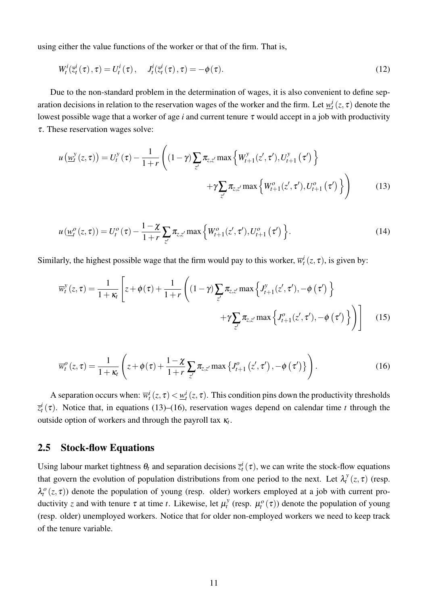using either the value functions of the worker or that of the firm. That is,

<span id="page-12-2"></span>
$$
W_t^i(\overline{z}_t^i(\tau), \tau) = U_t^i(\tau), \quad J_t^i(\overline{z}_t^i(\tau), \tau) = -\phi(\tau). \tag{12}
$$

Due to the non-standard problem in the determination of wages, it is also convenient to define separation decisions in relation to the reservation wages of the worker and the firm. Let  $\underline{w}_t^i(z,\tau)$  denote the lowest possible wage that a worker of age *i* and current tenure τ would accept in a job with productivity τ. These reservation wages solve:

<span id="page-12-0"></span>
$$
u\left(\underline{w}_{t}^{y}(z,\tau)\right) = U_{t}^{y}(\tau) - \frac{1}{1+r} \left( (1-\gamma) \sum_{z'} \pi_{z,z'} \max\left\{W_{t+1}^{y}(z',\tau'), U_{t+1}^{y}(\tau')\right\} + \gamma \sum_{z'} \pi_{z,z'} \max\left\{W_{t+1}^{o}(z',\tau'), U_{t+1}^{o}(\tau')\right\} \right)
$$
(13)

<span id="page-12-3"></span>
$$
u(\underline{w}_{t}^{o}(z,\tau)) = U_{t}^{o}(\tau) - \frac{1-\chi}{1+r} \sum_{z'} \pi_{z,z'} \max\left\{W_{t+1}^{o}(z',\tau'), U_{t+1}^{o}(\tau')\right\}.
$$
 (14)

Similarly, the highest possible wage that the firm would pay to this worker,  $\overline{w}_t^i(z, \tau)$ , is given by:

<span id="page-12-4"></span>
$$
\overline{w}_{t}^{y}(z,\tau) = \frac{1}{1+\kappa_{t}} \left[ z + \phi(\tau) + \frac{1}{1+r} \left( (1-\gamma) \sum_{z'} \pi_{z,z'} \max \left\{ J_{t+1}^{y}(z',\tau'), -\phi(\tau') \right\} + \gamma \sum_{z'} \pi_{z,z'} \max \left\{ J_{t+1}^{o}(z',\tau'), -\phi(\tau') \right\} \right) \right]
$$
(15)

<span id="page-12-1"></span>
$$
\overline{w}_{t}^{o}\left(z,\tau\right)=\frac{1}{1+\kappa_{t}}\left(z+\phi\left(\tau\right)+\frac{1-\chi}{1+r}\sum_{z'}\pi_{z,z'}\max\left\{J_{t+1}^{o}\left(z',\tau'\right),-\phi\left(\tau'\right)\right\}\right).
$$
\n(16)

A separation occurs when:  $\overline{w}_t^i(z,\tau) < \underline{w}_t^i(z,\tau)$ . This condition pins down the productivity thresholds  $\overline{z}^i_t(\tau)$ . Notice that, in equations [\(13\)](#page-12-0)–[\(16\)](#page-12-1), reservation wages depend on calendar time *t* through the outside option of workers and through the payroll tax κ*<sup>t</sup>* .

#### <span id="page-12-5"></span>2.5 Stock-flow Equations

Using labour market tightness  $\theta_t$  and separation decisions  $\bar{z}_t^i(\tau)$ , we can write the stock-flow equations that govern the evolution of population distributions from one period to the next. Let  $\lambda_t^y$  $\sigma_t^y(z,\tau)$  (resp.  $\lambda_t^o(z,\tau)$ ) denote the population of young (resp. older) workers employed at a job with current productivity *z* and with tenure  $\tau$  at time *t*. Likewise, let  $\mu_t^y$  $\mu_t^{\mathcal{Y}}$  (resp.  $\mu_t^{\mathcal{O}}(\tau)$ ) denote the population of young (resp. older) unemployed workers. Notice that for older non-employed workers we need to keep track of the tenure variable.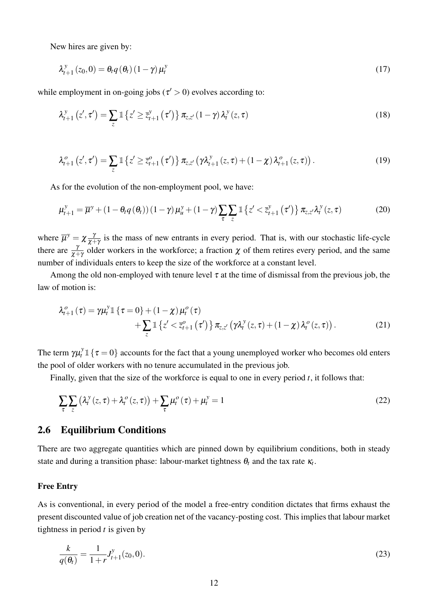New hires are given by:

<span id="page-13-1"></span>
$$
\lambda_{t+1}^{y}(z_0,0) = \theta_t q(\theta_t) (1-\gamma) \mu_t^{y}
$$
\n(17)

while employment in on-going jobs ( $\tau$  > 0) evolves according to:

$$
\lambda_{t+1}^{y}\left(z',\tau'\right) = \sum_{z} \mathbb{1}\left\{z' \geq \overline{z}_{t+1}^{y}\left(\tau'\right)\right\} \pi_{z,z'}\left(1-\gamma\right) \lambda_{t}^{y}\left(z,\tau\right)
$$
\n(18)

$$
\lambda_{t+1}^{o}\left(z',\tau'\right) = \sum_{z} \mathbb{1}\left\{z' \geq \overline{z}_{t+1}^{o}\left(\tau'\right)\right\} \pi_{z,z'}\left(\gamma \lambda_{t+1}^{y}\left(z,\tau\right) + \left(1-\chi\right) \lambda_{t+1}^{o}\left(z,\tau\right)\right). \tag{19}
$$

As for the evolution of the non-employment pool, we have:

$$
\mu_{t+1}^y = \overline{\mu}^y + (1 - \theta_t q(\theta_t))(1 - \gamma)\mu_u^y + (1 - \gamma) \sum_{\tau} \sum_{z} \mathbb{1} \left\{ z' < \overline{z}_{t+1}^y(\tau') \right\} \pi_{z,z'} \lambda_t^y(z,\tau) \tag{20}
$$

where  $\overline{\mu}^y = \chi \frac{\partial}{\partial x^y}$  $\frac{\gamma}{\chi+\gamma}$  is the mass of new entrants in every period. That is, with our stochastic life-cycle there are  $\frac{\gamma}{\chi+\gamma}$  older workers in the workforce; a fraction  $\chi$  of them retires every period, and the same number of individuals enters to keep the size of the workforce at a constant level.

Among the old non-employed with tenure level  $\tau$  at the time of dismissal from the previous job, the law of motion is:

$$
\lambda_{t+1}^o(\tau) = \gamma \mu_t^y \mathbb{1} \left\{ \tau = 0 \right\} + (1 - \chi) \mu_t^o(\tau) \n+ \sum_z \mathbb{1} \left\{ z' < \overline{z}_{t+1}^o(\tau') \right\} \pi_{z,z'} \left( \gamma \lambda_t^y(z,\tau) + (1 - \chi) \lambda_t^o(z,\tau) \right). \tag{21}
$$

The term  $\gamma \mu_t^y \mathbb{1} \{ \tau = 0 \}$  accounts for the fact that a young unemployed worker who becomes old enters the pool of older workers with no tenure accumulated in the previous job.

Finally, given that the size of the workforce is equal to one in every period *t*, it follows that:

<span id="page-13-2"></span>
$$
\sum_{\tau} \sum_{z} \left( \lambda_t^y(z, \tau) + \lambda_t^o(z, \tau) \right) + \sum_{\tau} \mu_t^o(\tau) + \mu_t^y = 1
$$
\n(22)

### 2.6 Equilibrium Conditions

There are two aggregate quantities which are pinned down by equilibrium conditions, both in steady state and during a transition phase: labour-market tightness  $\theta_t$  and the tax rate  $\kappa_t$ .

#### Free Entry

As is conventional, in every period of the model a free-entry condition dictates that firms exhaust the present discounted value of job creation net of the vacancy-posting cost. This implies that labour market tightness in period *t* is given by

<span id="page-13-0"></span>
$$
\frac{k}{q(\theta_t)} = \frac{1}{1+r} J_{t+1}^y(z_0,0). \tag{23}
$$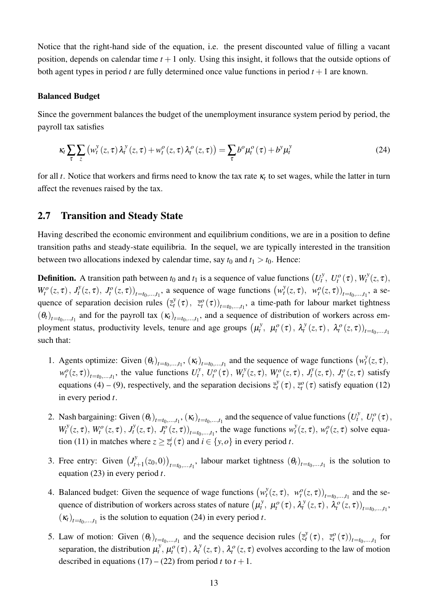Notice that the right-hand side of the equation, i.e. the present discounted value of filling a vacant position, depends on calendar time  $t + 1$  only. Using this insight, it follows that the outside options of both agent types in period  $t$  are fully determined once value functions in period  $t + 1$  are known.

#### Balanced Budget

Since the government balances the budget of the unemployment insurance system period by period, the payroll tax satisfies

<span id="page-14-0"></span>
$$
\kappa_t \sum_{\tau} \sum_{z} \left( w_t^y(z, \tau) \lambda_t^y(z, \tau) + w_t^o(z, \tau) \lambda_t^o(z, \tau) \right) = \sum_{\tau} b^o \mu_t^o(\tau) + b^y \mu_t^y \tag{24}
$$

for all *t*. Notice that workers and firms need to know the tax rate  $\kappa_t$  to set wages, while the latter in turn affect the revenues raised by the tax.

### <span id="page-14-1"></span>2.7 Transition and Steady State

Having described the economic environment and equilibrium conditions, we are in a position to define transition paths and steady-state equilibria. In the sequel, we are typically interested in the transition between two allocations indexed by calendar time, say  $t_0$  and  $t_1 > t_0$ . Hence:

**Definition.** A transition path between  $t_0$  and  $t_1$  is a sequence of value functions  $(U_t^y)$  $U_t^y$ ,  $U_t^o(\tau)$ ,  $W_t^y$  $t^{y}(z,\tau),$  $W_t^o(z, \tau), J_t^y$  $\left(v_t^y(z,\tau), J_t^o(z,\tau)\right)_{t=t_0,\ldots,t_1}$ , a sequence of wage functions  $\left(w_t^y(z,\tau), J_t^o(z,\tau)\right)$  $\left( \begin{array}{c} y \\ t \end{array} \right)$   $\left( z, \tau \right)$ ,  $\left( \begin{array}{c} w_t^o(z, \tau) \end{array} \right)_{t=t_0, \dots, t_1}$ , a sequence of separation decision rules  $(\bar{z}_t^y)$  $\bar{z}_t^y(\tau)$ ,  $\bar{z}_t^o(\tau)$ <sub>*t*=*t*<sub>0</sub>,...,*t*<sub>1</sub></sub>, a time-path for labour market tightness  $(\theta_t)_{t=t_0,...,t_1}$  and for the payroll tax  $(\kappa_t)_{t=t_0,...,t_1}$ , and a sequence of distribution of workers across employment status, productivity levels, tenure and age groups  $(\mu_t^y)$  $\mu_t^{\nu}$ ,  $\mu_t^{\nu}(\tau)$ ,  $\lambda_t^{\nu}$  $\mathcal{L}_t^{\mathcal{Y}}(z,\tau)$ ,  $\mathcal{L}_t^{\mathcal{O}}(z,\tau)$ <sub> $t=t_0,...,t_1$ </sub> such that:

- 1. Agents optimize: Given  $(\theta_t)_{t=t_0,\dots,t_1}$ ,  $(\kappa_t)_{t=t_0,\dots,t_1}$  and the sequence of wage functions  $(w_t^y)$  $t^{\mathcal{Y}}_t(z,\tau),$  $w_t^o(z, \tau)$ <sub>*t*=*t*<sub>0</sub>,...,*t*<sub>1</sub></sub>, the value functions  $U_t^y$  $U_t^y$ ,  $U_t^o(\tau)$ ,  $W_t^y$  $W_t^y(z, \tau)$ ,  $W_t^o(z, \tau)$ ,  $J_t^y$  $J_t^y(z,\tau)$ ,  $J_t^o(z,\tau)$  satisfy equations [\(4\)](#page-10-0) – [\(9\)](#page-11-2), respectively, and the separation decisions  $\overline{z_i^y}$  $\mathcal{L}_t^y(\tau)$ ,  $\overline{z_t^o}(\tau)$  satisfy equation [\(12\)](#page-12-2) in every period *t*.
- 2. Nash bargaining: Given  $(\theta_t)_{t=t_0,\dots,t_1}$ ,  $(\kappa_t)_{t=t_0,\dots,t_1}$  and the sequence of value functions  $(U_t)$  $U_t^y$ ,  $U_t^o(\tau)$ ,  $W_t^y$  $W_t^y(z, \tau), W_t^o(z, \tau), J_t^y$  $J_t^{\delta}(z,\tau)$ ,  $J_t^{\delta}(z,\tau)$ <sub>*t*=*t*<sub>0</sub>,...,*t*<sub>1</sub></sub>, the wage functions  $w_t^{\delta}$  $v_t^y(z, \tau)$ ,  $w_t^o(z, \tau)$  solve equa-tion [\(11\)](#page-11-1) in matches where  $z \geq \overline{z}_t^i(\tau)$  and  $i \in \{y, o\}$  in every period *t*.
- 3. Free entry: Given  $(J_t^y)$  $(t_{t+1}^{y}(z_0,0))_{t=t_0,...,t_1}$ , labour market tightness  $(\theta_t)_{t=t_0,...,t_1}$  is the solution to equation [\(23\)](#page-13-0) in every period *t*.
- 4. Balanced budget: Given the sequence of wage functions  $(w_t^y)$  $v_t^y(z, \tau)$ ,  $w_t^o(z, \tau)$ <sub>*t*=*t*<sub>0</sub>,...,*t*<sub>1</sub></sub> and the sequence of distribution of workers across states of nature  $(\mu_t^y)$  $\mu_t^o(\tau), \lambda_t^v$  $\mathcal{L}_{t}^{y}(z,\tau), \ \mathcal{L}_{t}^{o}(z,\tau))_{t=t_{0},...,t_{1}},$  $(\kappa_t)_{t=t_0,...,t_1}$  is the solution to equation [\(24\)](#page-14-0) in every period *t*.
- 5. Law of motion: Given  $(\theta_t)_{t=t_0,\dots,t_1}$  and the sequence decision rules  $(\bar{z}_t)$  $\bar{z}_t^o(\tau)$ ,  $\bar{z}_t^o(\tau)$ <sub> $t=t_0,...,t_1$ </sub> for separation, the distribution  $\mu_t^y$  $\mu_t^{\nu},\mu_t^{\omega}(\tau),\lambda_t^{\nu}$  $\mathcal{L}_t^{\mathcal{Y}}(z,\tau)$ ,  $\lambda_t^o(z,\tau)$  evolves according to the law of motion described in equations  $(17) - (22)$  $(17) - (22)$  $(17) - (22)$  from period *t* to  $t + 1$ .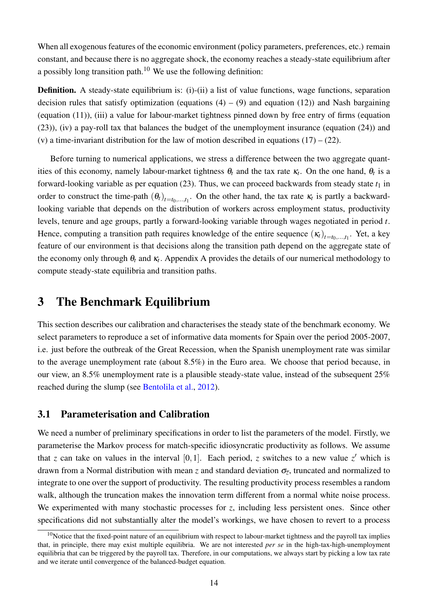When all exogenous features of the economic environment (policy parameters, preferences, etc.) remain constant, and because there is no aggregate shock, the economy reaches a steady-state equilibrium after a possibly long transition path.<sup>[10](#page--1-0)</sup> We use the following definition:

Definition. A steady-state equilibrium is: (i)-(ii) a list of value functions, wage functions, separation decision rules that satisfy optimization (equations  $(4) - (9)$  $(4) - (9)$  $(4) - (9)$  and equation  $(12)$ ) and Nash bargaining (equation [\(11\)](#page-11-1)), (iii) a value for labour-market tightness pinned down by free entry of firms (equation [\(23\)](#page-13-0)), (iv) a pay-roll tax that balances the budget of the unemployment insurance (equation [\(24\)](#page-14-0)) and (v) a time-invariant distribution for the law of motion described in equations  $(17) - (22)$  $(17) - (22)$  $(17) - (22)$ .

Before turning to numerical applications, we stress a difference between the two aggregate quantities of this economy, namely labour-market tightness  $\theta_t$  and the tax rate  $\kappa_t$ . On the one hand,  $\theta_t$  is a forward-looking variable as per equation  $(23)$ . Thus, we can proceed backwards from steady state  $t_1$  in order to construct the time-path  $(\theta_t)_{t=t_0,\dots,t_1}$ . On the other hand, the tax rate  $\kappa_t$  is partly a backwardlooking variable that depends on the distribution of workers across employment status, productivity levels, tenure and age groups, partly a forward-looking variable through wages negotiated in period *t*. Hence, computing a transition path requires knowledge of the entire sequence  $(\kappa_t)_{t=t_0,...,t_1}$ . Yet, a key feature of our environment is that decisions along the transition path depend on the aggregate state of the economy only through  $\theta_t$  and  $\kappa_t$ . [A](#page-38-0)ppendix A provides the details of our numerical methodology to compute steady-state equilibria and transition paths.

# <span id="page-15-0"></span>3 The Benchmark Equilibrium

This section describes our calibration and characterises the steady state of the benchmark economy. We select parameters to reproduce a set of informative data moments for Spain over the period 2005-2007, i.e. just before the outbreak of the Great Recession, when the Spanish unemployment rate was similar to the average unemployment rate (about 8.5%) in the Euro area. We choose that period because, in our view, an 8.5% unemployment rate is a plausible steady-state value, instead of the subsequent 25% reached during the slump (see [Bentolila et al.,](#page-35-1) [2012\)](#page-35-1).

### 3.1 Parameterisation and Calibration

We need a number of preliminary specifications in order to list the parameters of the model. Firstly, we parameterise the Markov process for match-specific idiosyncratic productivity as follows. We assume that *z* can take on values in the interval [0,1]. Each period, *z* switches to a new value  $z'$  which is drawn from a Normal distribution with mean *z* and standard deviation σ*<sup>z</sup>* , truncated and normalized to integrate to one over the support of productivity. The resulting productivity process resembles a random walk, although the truncation makes the innovation term different from a normal white noise process. We experimented with many stochastic processes for *z*, including less persistent ones. Since other specifications did not substantially alter the model's workings, we have chosen to revert to a process

 $10$ Notice that the fixed-point nature of an equilibrium with respect to labour-market tightness and the payroll tax implies that, in principle, there may exist multiple equilibria. We are not interested *per se* in the high-tax-high-unemployment equilibria that can be triggered by the payroll tax. Therefore, in our computations, we always start by picking a low tax rate and we iterate until convergence of the balanced-budget equation.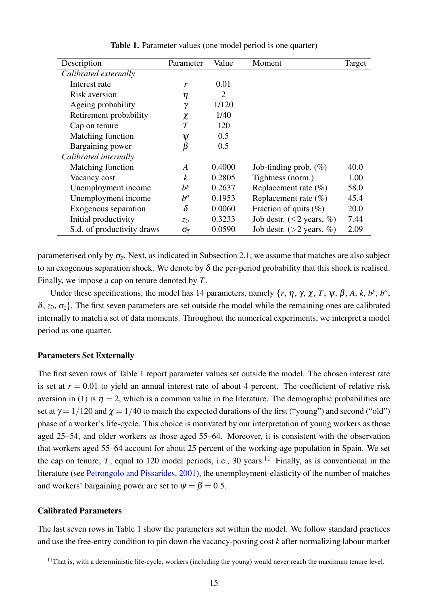<span id="page-16-0"></span>

| Description                | Parameter               | Value  | Moment                          | Target |
|----------------------------|-------------------------|--------|---------------------------------|--------|
| Calibrated externally      |                         |        |                                 |        |
| Interest rate              | r                       | 0.01   |                                 |        |
| Risk aversion              | η                       | 2      |                                 |        |
| Ageing probability         | $\gamma$                | 1/120  |                                 |        |
| Retirement probability     | $\chi$                  | 1/40   |                                 |        |
| Cap on tenure              | T                       | 120    |                                 |        |
| Matching function          | $\psi$                  | 0.5    |                                 |        |
| Bargaining power           | β                       | 0.5    |                                 |        |
| Calibrated internally      |                         |        |                                 |        |
| Matching function          | A                       | 0.4000 | Job-finding prob. $(\%)$        | 40.0   |
| Vacancy cost               | k                       | 0.2805 | Tightness (norm.)               | 1.00   |
| Unemployment income        | $b^y$                   | 0.2637 | Replacement rate $(\%)$         | 58.0   |
| Unemployment income        | $b^o$                   | 0.1953 | Replacement rate $(\% )$        | 45.4   |
| Exogenous separation       | $\delta$                | 0.0060 | Fraction of quits $(\%)$        | 20.0   |
| Initial productivity       | $z_0$                   | 0.3233 | Job destr. ( $\leq$ 2 years, %) | 7.44   |
| S.d. of productivity draws | $\sigma_{\overline{z}}$ | 0.0590 | Job destr. ( $>2$ years, %)     | 2.09   |

Table 1. Parameter values (one model period is one quarter)

parameterised only by σ*<sup>z</sup>* . Next, as indicated in Subsection [2.1,](#page-7-1) we assume that matches are also subject to an exogenous separation shock. We denote by  $\delta$  the per-period probability that this shock is realised. Finally, we impose a cap on tenure denoted by *T*.

Under these specifications, the model has 14 parameters, namely {*r*, η, γ, χ, *T*, ψ, β, *A*, *k*, *b y* , *b o* ,  $\delta$ ,  $z_0$ ,  $\sigma_{\overline{z}}$ . The first seven parameters are set outside the model while the remaining ones are calibrated internally to match a set of data moments. Throughout the numerical experiments, we interpret a model period as one quarter.

### Parameters Set Externally

The first seven rows of Table [1](#page-16-0) report parameter values set outside the model. The chosen interest rate is set at  $r = 0.01$  to yield an annual interest rate of about 4 percent. The coefficient of relative risk aversion in [\(1\)](#page-7-2) is  $\eta = 2$ , which is a common value in the literature. The demographic probabilities are set at  $\gamma = 1/120$  and  $\gamma = 1/40$  to match the expected durations of the first ("young") and second ("old") phase of a worker's life-cycle. This choice is motivated by our interpretation of young workers as those aged 25–54, and older workers as those aged 55–64. Moreover, it is consistent with the observation that workers aged 55–64 account for about 25 percent of the working-age population in Spain. We set the cap on tenure, *T*, equal to 120 model periods, i.e., 30 years.<sup>[11](#page--1-0)</sup> Finally, as is conventional in the literature (see [Petrongolo and Pissarides,](#page-36-14) [2001\)](#page-36-14), the unemployment-elasticity of the number of matches and workers' bargaining power are set to  $\psi = \beta = 0.5$ .

#### Calibrated Parameters

The last seven rows in Table [1](#page-16-0) show the parameters set within the model. We follow standard practices and use the free-entry condition to pin down the vacancy-posting cost *k* after normalizing labour market

 $11$ That is, with a deterministic life-cycle, workers (including the young) would never reach the maximum tenure level.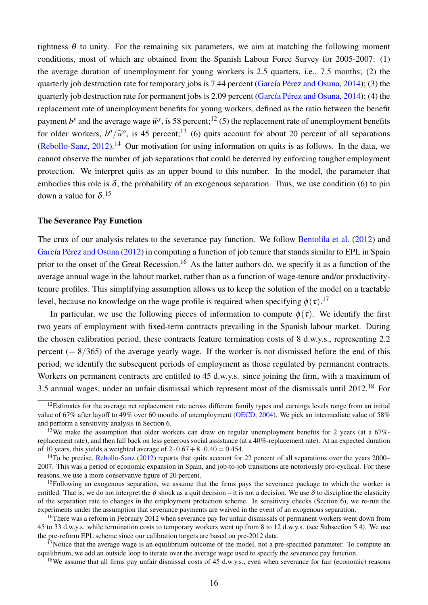tightness  $\theta$  to unity. For the remaining six parameters, we aim at matching the following moment conditions, most of which are obtained from the Spanish Labour Force Survey for 2005-2007: (1) the average duration of unemployment for young workers is 2.5 quarters, i.e., 7.5 months; (2) the quarterly job destruction rate for temporary jobs is 7.44 percent [\(García Pérez and Osuna,](#page-36-11) [2014\)](#page-36-11); (3) the quarterly job destruction rate for permanent jobs is 2.09 percent [\(García Pérez and Osuna,](#page-36-11) [2014\)](#page-36-11); (4) the replacement rate of unemployment benefits for young workers, defined as the ratio between the benefit payment *b*<sup>*y*</sup> and the average wage  $\tilde{w}$ <sup>*y*</sup>, is 58 percent;<sup>[12](#page--1-0)</sup> (5) the replacement rate of unemployment benefits for older workers,  $b^o/\tilde{w}^o$ , is 45 percent;<sup>[13](#page--1-0)</sup> (6) quits account for about 20 percent of all separations  $(Rebollo-Sanz, 2012).<sup>14</sup>$  $(Rebollo-Sanz, 2012).<sup>14</sup>$  $(Rebollo-Sanz, 2012).<sup>14</sup>$  $(Rebollo-Sanz, 2012).<sup>14</sup>$  $(Rebollo-Sanz, 2012).<sup>14</sup>$  $(Rebollo-Sanz, 2012).<sup>14</sup>$  Our motivation for using information on quits is as follows. In the data, we cannot observe the number of job separations that could be deterred by enforcing tougher employment protection. We interpret quits as an upper bound to this number. In the model, the parameter that embodies this role is  $\delta$ , the probability of an exogenous separation. Thus, we use condition (6) to pin down a value for  $\delta$ .<sup>[15](#page--1-0)</sup>

#### The Severance Pay Function

The crux of our analysis relates to the severance pay function. We follow [Bentolila et al.](#page-35-1) [\(2012\)](#page-35-1) and [García Pérez and Osuna](#page-36-15) [\(2012\)](#page-36-15) in computing a function of job tenure that stands similar to EPL in Spain prior to the onset of the Great Recession.<sup>[16](#page--1-0)</sup> As the latter authors do, we specify it as a function of the average annual wage in the labour market, rather than as a function of wage-tenure and/or productivitytenure profiles. This simplifying assumption allows us to keep the solution of the model on a tractable level, because no knowledge on the wage profile is required when specifying  $\phi(\tau)$ .<sup>[17](#page--1-0)</sup>

In particular, we use the following pieces of information to compute  $\phi(\tau)$ . We identify the first two years of employment with fixed-term contracts prevailing in the Spanish labour market. During the chosen calibration period, these contracts feature termination costs of 8 d.w.y.s., representing 2.2 percent ( $= 8/365$ ) of the average yearly wage. If the worker is not dismissed before the end of this period, we identify the subsequent periods of employment as those regulated by permanent contracts. Workers on permanent contracts are entitled to 45 d.w.y.s. since joining the firm, with a maximum of 3.5 annual wages, under an unfair dismissal which represent most of the dismissals until 2012.[18](#page--1-0) For

 $12$ Estimates for the average net replacement rate across different family types and earnings levels range from an initial value of 67% after layoff to 49% over 60 months of unemployment [\(OECD,](#page-36-16) [2004\)](#page-36-16). We pick an intermediate value of 58% and perform a sensitivity analysis in Section [6.](#page-33-0)

<sup>&</sup>lt;sup>13</sup>We make the assumption that older workers can draw on regular unemployment benefits for 2 years (at a 67%replacement rate), and then fall back on less generous social assistance (at a 40%-replacement rate). At an expected duration of 10 years, this yields a weighted average of  $2 \cdot 0.67 + 8 \cdot 0.40 = 0.454$ .

<sup>&</sup>lt;sup>14</sup>To be precise, [Rebollo-Sanz](#page-37-2) [\(2012\)](#page-37-2) reports that quits account for 22 percent of all separations over the years 2000– 2007. This was a period of economic expansion in Spain, and job-to-job transitions are notoriously pro-cyclical. For these reasons, we use a more conservative figure of 20 percent.

<sup>&</sup>lt;sup>15</sup>Following an exogenous separation, we assume that the firms pays the severance package to which the worker is entitled. That is, we do not interpret the  $\delta$  shock as a quit decision – it is not a decision. We use  $\delta$  to discipline the elasticity of the separation rate to changes in the employment protection scheme. In sensitivity checks (Section [6\)](#page-33-0), we re-run the experiments under the assumption that severance payments are waived in the event of an exogenous separation.

<sup>&</sup>lt;sup>16</sup>There was a reform in February 2012 when severance pay for unfair dismissals of permanent workers went down from 45 to 33 d.w.y.s. while termination costs to temporary workers went up from 8 to 12 d.w.y.s. (see Subsection [5.4\)](#page-30-0). We use the pre-reform EPL scheme since our calibration targets are based on pre-2012 data.

 $17$ Notice that the average wage is an equilibrium outcome of the model, not a pre-specified parameter. To compute an equilibrium, we add an outside loop to iterate over the average wage used to specify the severance pay function.

<sup>&</sup>lt;sup>18</sup>We assume that all firms pay unfair dismissal costs of 45 d.w.y.s., even when severance for fair (economic) reasons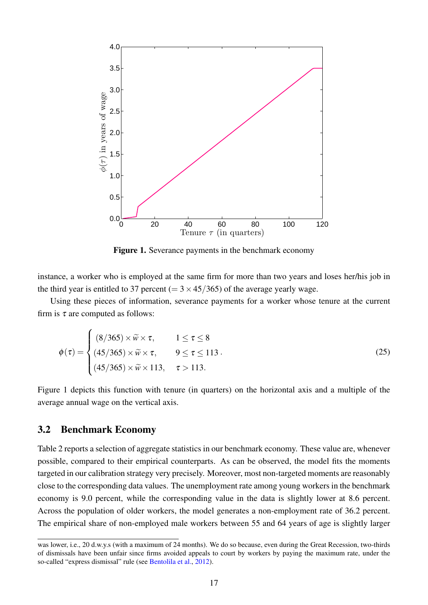<span id="page-18-0"></span>

Figure 1. Severance payments in the benchmark economy

instance, a worker who is employed at the same firm for more than two years and loses her/his job in the third year is entitled to 37 percent ( $= 3 \times 45/365$ ) of the average yearly wage.

Using these pieces of information, severance payments for a worker whose tenure at the current firm is  $\tau$  are computed as follows:

$$
\phi(\tau) = \begin{cases}\n(8/365) \times \widetilde{w} \times \tau, & 1 \leq \tau \leq 8 \\
(45/365) \times \widetilde{w} \times \tau, & 9 \leq \tau \leq 113 \\
(45/365) \times \widetilde{w} \times 113, & \tau > 113.\n\end{cases}
$$
\n(25)

Figure [1](#page-18-0) depicts this function with tenure (in quarters) on the horizontal axis and a multiple of the average annual wage on the vertical axis.

### 3.2 Benchmark Economy

Table [2](#page-19-0) reports a selection of aggregate statistics in our benchmark economy. These value are, whenever possible, compared to their empirical counterparts. As can be observed, the model fits the moments targeted in our calibration strategy very precisely. Moreover, most non-targeted moments are reasonably close to the corresponding data values. The unemployment rate among young workers in the benchmark economy is 9.0 percent, while the corresponding value in the data is slightly lower at 8.6 percent. Across the population of older workers, the model generates a non-employment rate of 36.2 percent. The empirical share of non-employed male workers between 55 and 64 years of age is slightly larger

was lower, i.e., 20 d.w.y.s (with a maximum of 24 months). We do so because, even during the Great Recession, two-thirds of dismissals have been unfair since firms avoided appeals to court by workers by paying the maximum rate, under the so-called "express dismissal" rule (see [Bentolila et al.,](#page-35-1) [2012\)](#page-35-1).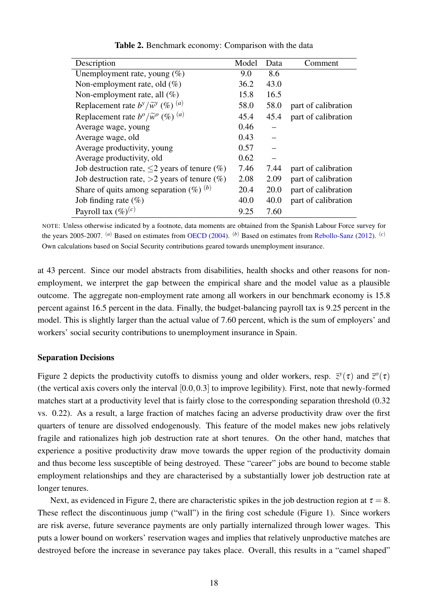<span id="page-19-0"></span>

| Description                                                     | Model | Data | Comment             |
|-----------------------------------------------------------------|-------|------|---------------------|
| Unemployment rate, young $(\%)$                                 | 9.0   | 8.6  |                     |
| Non-employment rate, old $(\%)$                                 | 36.2  | 43.0 |                     |
| Non-employment rate, all $(\%)$                                 | 15.8  | 16.5 |                     |
| Replacement rate $b^y/\widetilde{w}^y$ (%) $(a)$                | 58.0  | 58.0 | part of calibration |
| Replacement rate $b^{\circ}/\widetilde{w}^{\circ}$ (%) $^{(a)}$ | 45.4  | 45.4 | part of calibration |
| Average wage, young                                             | 0.46  |      |                     |
| Average wage, old                                               | 0.43  |      |                     |
| Average productivity, young                                     | 0.57  |      |                     |
| Average productivity, old                                       | 0.62  |      |                     |
| Job destruction rate, $\leq$ 2 years of tenure (%)              | 7.46  | 7.44 | part of calibration |
| Job destruction rate, $>2$ years of tenure $(\%)$               | 2.08  | 2.09 | part of calibration |
| Share of quits among separation $(\%)^{(b)}$                    | 20.4  | 20.0 | part of calibration |
| Job finding rate $(\%)$                                         | 40.0  | 40.0 | part of calibration |
| Payroll tax $(\%)^{(c)}$                                        | 9.25  | 7.60 |                     |

Table 2. Benchmark economy: Comparison with the data

NOTE: Unless otherwise indicated by a footnote, data moments are obtained from the Spanish Labour Force survey for the years 2005-2007. (*a*) Based on estimates from [OECD](#page-36-16) [\(2004\)](#page-36-16). (*b*) Based on estimates from [Rebollo-Sanz](#page-37-2) [\(2012\)](#page-37-2). (*c*) Own calculations based on Social Security contributions geared towards unemployment insurance.

at 43 percent. Since our model abstracts from disabilities, health shocks and other reasons for nonemployment, we interpret the gap between the empirical share and the model value as a plausible outcome. The aggregate non-employment rate among all workers in our benchmark economy is 15.8 percent against 16.5 percent in the data. Finally, the budget-balancing payroll tax is 9.25 percent in the model. This is slightly larger than the actual value of 7.60 percent, which is the sum of employers' and workers' social security contributions to unemployment insurance in Spain.

#### Separation Decisions

Figure [2](#page-20-0) depicts the productivity cutoffs to dismiss young and older workers, resp.  $\bar{z}^y(\tau)$  and  $\bar{z}^o(\tau)$ (the vertical axis covers only the interval [0.0,0.3] to improve legibility). First, note that newly-formed matches start at a productivity level that is fairly close to the corresponding separation threshold (0.32 vs. 0.22). As a result, a large fraction of matches facing an adverse productivity draw over the first quarters of tenure are dissolved endogenously. This feature of the model makes new jobs relatively fragile and rationalizes high job destruction rate at short tenures. On the other hand, matches that experience a positive productivity draw move towards the upper region of the productivity domain and thus become less susceptible of being destroyed. These "career" jobs are bound to become stable employment relationships and they are characterised by a substantially lower job destruction rate at longer tenures.

Next, as evidenced in Figure [2,](#page-20-0) there are characteristic spikes in the job destruction region at  $\tau = 8$ . These reflect the discontinuous jump ("wall") in the firing cost schedule (Figure [1\)](#page-18-0). Since workers are risk averse, future severance payments are only partially internalized through lower wages. This puts a lower bound on workers' reservation wages and implies that relatively unproductive matches are destroyed before the increase in severance pay takes place. Overall, this results in a "camel shaped"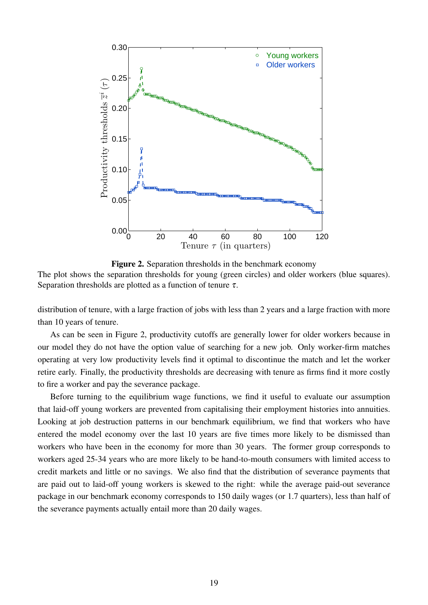<span id="page-20-0"></span>

Figure 2. Separation thresholds in the benchmark economy The plot shows the separation thresholds for young (green circles) and older workers (blue squares). Separation thresholds are plotted as a function of tenure  $\tau$ .

distribution of tenure, with a large fraction of jobs with less than 2 years and a large fraction with more than 10 years of tenure.

As can be seen in Figure [2,](#page-20-0) productivity cutoffs are generally lower for older workers because in our model they do not have the option value of searching for a new job. Only worker-firm matches operating at very low productivity levels find it optimal to discontinue the match and let the worker retire early. Finally, the productivity thresholds are decreasing with tenure as firms find it more costly to fire a worker and pay the severance package.

Before turning to the equilibrium wage functions, we find it useful to evaluate our assumption that laid-off young workers are prevented from capitalising their employment histories into annuities. Looking at job destruction patterns in our benchmark equilibrium, we find that workers who have entered the model economy over the last 10 years are five times more likely to be dismissed than workers who have been in the economy for more than 30 years. The former group corresponds to workers aged 25-34 years who are more likely to be hand-to-mouth consumers with limited access to credit markets and little or no savings. We also find that the distribution of severance payments that are paid out to laid-off young workers is skewed to the right: while the average paid-out severance package in our benchmark economy corresponds to 150 daily wages (or 1.7 quarters), less than half of the severance payments actually entail more than 20 daily wages.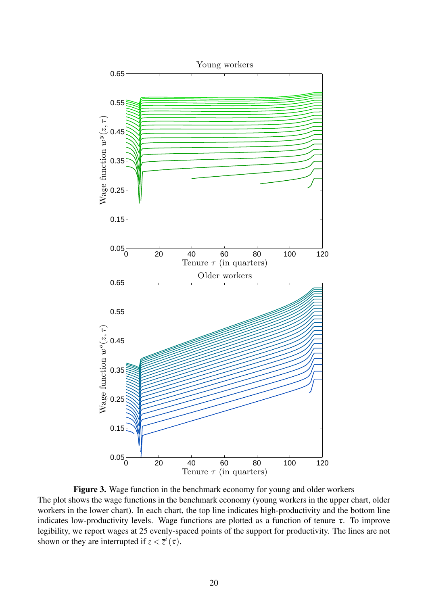<span id="page-21-0"></span>

Figure 3. Wage function in the benchmark economy for young and older workers The plot shows the wage functions in the benchmark economy (young workers in the upper chart, older workers in the lower chart). In each chart, the top line indicates high-productivity and the bottom line indicates low-productivity levels. Wage functions are plotted as a function of tenure  $\tau$ . To improve legibility, we report wages at 25 evenly-spaced points of the support for productivity. The lines are not shown or they are interrupted if  $z < \overline{z}^i(\tau)$ .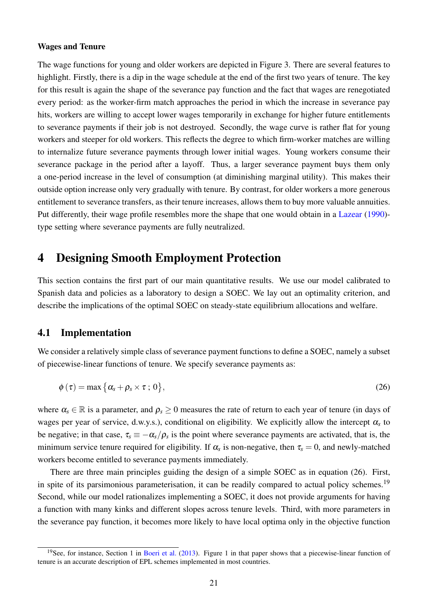#### Wages and Tenure

The wage functions for young and older workers are depicted in Figure [3.](#page-21-0) There are several features to highlight. Firstly, there is a dip in the wage schedule at the end of the first two years of tenure. The key for this result is again the shape of the severance pay function and the fact that wages are renegotiated every period: as the worker-firm match approaches the period in which the increase in severance pay hits, workers are willing to accept lower wages temporarily in exchange for higher future entitlements to severance payments if their job is not destroyed. Secondly, the wage curve is rather flat for young workers and steeper for old workers. This reflects the degree to which firm-worker matches are willing to internalize future severance payments through lower initial wages. Young workers consume their severance package in the period after a layoff. Thus, a larger severance payment buys them only a one-period increase in the level of consumption (at diminishing marginal utility). This makes their outside option increase only very gradually with tenure. By contrast, for older workers a more generous entitlement to severance transfers, as their tenure increases, allows them to buy more valuable annuities. Put differently, their wage profile resembles more the shape that one would obtain in a [Lazear](#page-36-13) [\(1990\)](#page-36-13) type setting where severance payments are fully neutralized.

# <span id="page-22-0"></span>4 Designing Smooth Employment Protection

This section contains the first part of our main quantitative results. We use our model calibrated to Spanish data and policies as a laboratory to design a SOEC. We lay out an optimality criterion, and describe the implications of the optimal SOEC on steady-state equilibrium allocations and welfare.

#### 4.1 Implementation

We consider a relatively simple class of severance payment functions to define a SOEC, namely a subset of piecewise-linear functions of tenure. We specify severance payments as:

<span id="page-22-1"></span>
$$
\phi(\tau) = \max\{\alpha_s + \rho_s \times \tau \, ; \, 0\},\tag{26}
$$

where  $\alpha_s \in \mathbb{R}$  is a parameter, and  $\rho_s \geq 0$  measures the rate of return to each year of tenure (in days of wages per year of service, d.w.y.s.), conditional on eligibility. We explicitly allow the intercept  $\alpha_s$  to be negative; in that case,  $\tau_s \equiv -\alpha_s/\rho_s$  is the point where severance payments are activated, that is, the minimum service tenure required for eligibility. If  $\alpha_s$  is non-negative, then  $\tau_s = 0$ , and newly-matched workers become entitled to severance payments immediately.

There are three main principles guiding the design of a simple SOEC as in equation [\(26\)](#page-22-1). First, in spite of its parsimonious parameterisation, it can be readily compared to actual policy schemes.<sup>[19](#page--1-0)</sup> Second, while our model rationalizes implementing a SOEC, it does not provide arguments for having a function with many kinks and different slopes across tenure levels. Third, with more parameters in the severance pay function, it becomes more likely to have local optima only in the objective function

<sup>&</sup>lt;sup>19</sup>See, for instance, Section 1 in [Boeri et al.](#page-35-10) [\(2013\)](#page-35-10). Figure 1 in that paper shows that a piecewise-linear function of tenure is an accurate description of EPL schemes implemented in most countries.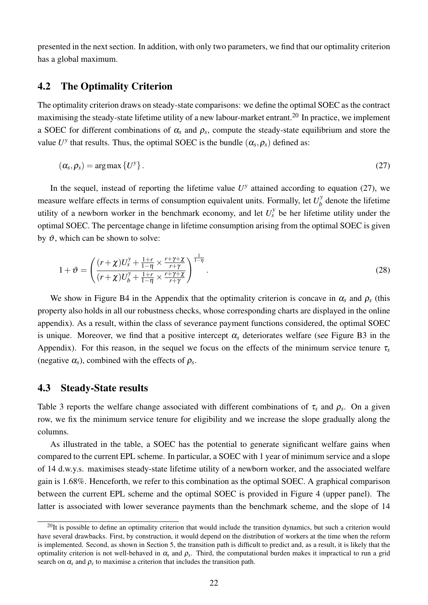presented in the next section. In addition, with only two parameters, we find that our optimality criterion has a global maximum.

### 4.2 The Optimality Criterion

The optimality criterion draws on steady-state comparisons: we define the optimal SOEC as the contract maximising the steady-state lifetime utility of a new labour-market entrant.[20](#page--1-0) In practice, we implement a SOEC for different combinations of  $\alpha_s$  and  $\rho_s$ , compute the steady-state equilibrium and store the value  $U^{\gamma}$  that results. Thus, the optimal SOEC is the bundle  $(\alpha_s, \rho_s)$  defined as:

<span id="page-23-0"></span>
$$
(\alpha_s, \rho_s) = \arg \max \{ U^y \}.
$$
 (27)

In the sequel, instead of reporting the lifetime value  $U^y$  attained according to equation [\(27\)](#page-23-0), we measure welfare effects in terms of consumption equivalent units. Formally, let  $U_b^{\gamma}$  $b<sub>b</sub>$ <sup>*b*</sup> denote the lifetime utility of a newborn worker in the benchmark economy, and let  $U_s^{\gamma}$  be her lifetime utility under the optimal SOEC. The percentage change in lifetime consumption arising from the optimal SOEC is given by  $\vartheta$ , which can be shown to solve:

<span id="page-23-1"></span>
$$
1+\vartheta = \left(\frac{(r+\chi)U_s^{\gamma} + \frac{1+r}{1-\eta} \times \frac{r+\gamma+\chi}{r+\gamma}}{(r+\chi)U_b^{\gamma} + \frac{1+r}{1-\eta} \times \frac{r+\gamma+\chi}{r+\gamma}}\right)^{\frac{1}{1-\eta}}.
$$
\n(28)

We show in Figure [B4](#page-44-0) in the Appendix that the optimality criterion is concave in  $\alpha_s$  and  $\rho_s$  (this property also holds in all our robustness checks, whose corresponding charts are displayed in the online appendix). As a result, within the class of severance payment functions considered, the optimal SOEC is unique. Moreover, we find that a positive intercept  $\alpha_s$  deteriorates welfare (see Figure [B3](#page-44-1) in the Appendix). For this reason, in the sequel we focus on the effects of the minimum service tenure  $\tau_s$ (negative  $\alpha_s$ ), combined with the effects of  $\rho_s$ .

### 4.3 Steady-State results

Table [3](#page-24-0) reports the welfare change associated with different combinations of  $\tau_s$  and  $\rho_s$ . On a given row, we fix the minimum service tenure for eligibility and we increase the slope gradually along the columns.

As illustrated in the table, a SOEC has the potential to generate significant welfare gains when compared to the current EPL scheme. In particular, a SOEC with 1 year of minimum service and a slope of 14 d.w.y.s. maximises steady-state lifetime utility of a newborn worker, and the associated welfare gain is 1.68%. Henceforth, we refer to this combination as the optimal SOEC. A graphical comparison between the current EPL scheme and the optimal SOEC is provided in Figure [4](#page-26-0) (upper panel). The latter is associated with lower severance payments than the benchmark scheme, and the slope of 14

 $20$ It is possible to define an optimality criterion that would include the transition dynamics, but such a criterion would have several drawbacks. First, by construction, it would depend on the distribution of workers at the time when the reform is implemented. Second, as shown in Section [5,](#page-27-0) the transition path is difficult to predict and, as a result, it is likely that the optimality criterion is not well-behaved in  $\alpha_s$  and  $\rho_s$ . Third, the computational burden makes it impractical to run a grid search on  $\alpha_s$  and  $\rho_s$  to maximise a criterion that includes the transition path.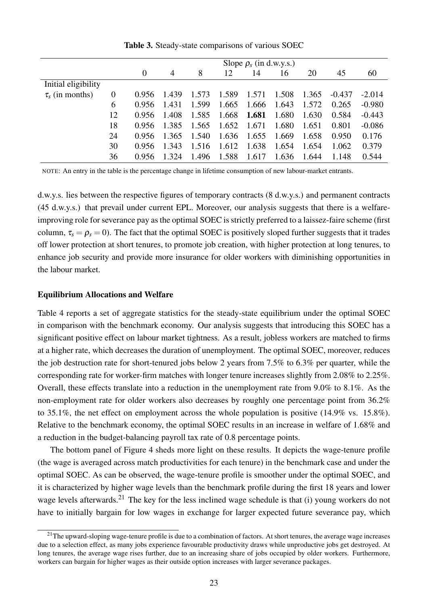<span id="page-24-0"></span>

|                      |    | Slope $\rho_s$ (in d.w.y.s.) |                |       |       |       |       |       |          |          |
|----------------------|----|------------------------------|----------------|-------|-------|-------|-------|-------|----------|----------|
|                      |    | $\overline{0}$               | $\overline{4}$ | 8     | 12    | 14    | 16    | 20    | 45       | 60       |
| Initial eligibility  |    |                              |                |       |       |       |       |       |          |          |
| $\tau_s$ (in months) | 0  | 0.956                        | 1.439          | 1.573 | 1.589 | 1.571 | 1.508 | 1.365 | $-0.437$ | $-2.014$ |
|                      | 6  | 0.956                        | 1.431          | 1.599 | 1.665 | 1.666 | 1.643 | 1.572 | 0.265    | $-0.980$ |
|                      | 12 | 0.956                        | 1.408          | 1.585 | 1.668 | 1.681 | 1.680 | 1.630 | 0.584    | $-0.443$ |
|                      | 18 | 0.956                        | 1.385          | 1.565 | 1.652 | 1.671 | 1.680 | 1.651 | 0.801    | $-0.086$ |
|                      | 24 | 0.956                        | 1.365          | 1.540 | 1.636 | 1.655 | 1.669 | 1.658 | 0.950    | 0.176    |
|                      | 30 | 0.956                        | 1.343          | 1.516 | 1.612 | 1.638 | 1.654 | 1.654 | 1.062    | 0.379    |
|                      | 36 | 0.956                        | 1.324          | 1.496 | 1.588 | 1.617 | 1.636 | 1.644 | 1.148    | 0.544    |

Table 3. Steady-state comparisons of various SOEC

NOTE: An entry in the table is the percentage change in lifetime consumption of new labour-market entrants.

d.w.y.s. lies between the respective figures of temporary contracts (8 d.w.y.s.) and permanent contracts (45 d.w.y.s.) that prevail under current EPL. Moreover, our analysis suggests that there is a welfareimproving role for severance pay as the optimal SOEC is strictly preferred to a laissez-faire scheme (first column,  $\tau_s = \rho_s = 0$ ). The fact that the optimal SOEC is positively sloped further suggests that it trades off lower protection at short tenures, to promote job creation, with higher protection at long tenures, to enhance job security and provide more insurance for older workers with diminishing opportunities in the labour market.

#### Equilibrium Allocations and Welfare

Table [4](#page-25-0) reports a set of aggregate statistics for the steady-state equilibrium under the optimal SOEC in comparison with the benchmark economy. Our analysis suggests that introducing this SOEC has a significant positive effect on labour market tightness. As a result, jobless workers are matched to firms at a higher rate, which decreases the duration of unemployment. The optimal SOEC, moreover, reduces the job destruction rate for short-tenured jobs below 2 years from 7.5% to 6.3% per quarter, while the corresponding rate for worker-firm matches with longer tenure increases slightly from 2.08% to 2.25%. Overall, these effects translate into a reduction in the unemployment rate from 9.0% to 8.1%. As the non-employment rate for older workers also decreases by roughly one percentage point from 36.2% to 35.1%, the net effect on employment across the whole population is positive (14.9% vs. 15.8%). Relative to the benchmark economy, the optimal SOEC results in an increase in welfare of 1.68% and a reduction in the budget-balancing payroll tax rate of 0.8 percentage points.

The bottom panel of Figure [4](#page-26-0) sheds more light on these results. It depicts the wage-tenure profile (the wage is averaged across match productivities for each tenure) in the benchmark case and under the optimal SOEC. As can be observed, the wage-tenure profile is smoother under the optimal SOEC, and it is characterized by higher wage levels than the benchmark profile during the first 18 years and lower wage levels afterwards.<sup>[21](#page--1-0)</sup> The key for the less inclined wage schedule is that (i) young workers do not have to initially bargain for low wages in exchange for larger expected future severance pay, which

 $21$ The upward-sloping wage-tenure profile is due to a combination of factors. At short tenures, the average wage increases due to a selection effect, as many jobs experience favourable productivity draws while unproductive jobs get destroyed. At long tenures, the average wage rises further, due to an increasing share of jobs occupied by older workers. Furthermore, workers can bargain for higher wages as their outside option increases with larger severance packages.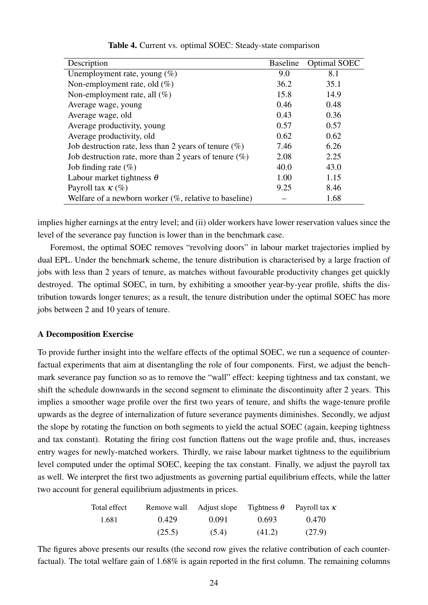<span id="page-25-0"></span>

| Description                                               | <b>Baseline</b> | <b>Optimal SOEC</b> |
|-----------------------------------------------------------|-----------------|---------------------|
| Unemployment rate, young $(\%)$                           | 9.0             | 8.1                 |
| Non-employment rate, old $(\%)$                           | 36.2            | 35.1                |
| Non-employment rate, all $(\%)$                           | 15.8            | 14.9                |
| Average wage, young                                       | 0.46            | 0.48                |
| Average wage, old                                         | 0.43            | 0.36                |
| Average productivity, young                               | 0.57            | 0.57                |
| Average productivity, old                                 | 0.62            | 0.62                |
| Job destruction rate, less than 2 years of tenure $(\%)$  | 7.46            | 6.26                |
| Job destruction rate, more than 2 years of tenure $(\%)$  | 2.08            | 2.25                |
| Job finding rate $(\%)$                                   | 40.0            | 43.0                |
| Labour market tightness $\theta$                          | 1.00            | 1.15                |
| Payroll tax $\kappa$ (%)                                  | 9.25            | 8.46                |
| Welfare of a newborn worker $(\%$ , relative to baseline) |                 | 1.68                |

#### Table 4. Current vs. optimal SOEC: Steady-state comparison

implies higher earnings at the entry level; and (ii) older workers have lower reservation values since the level of the severance pay function is lower than in the benchmark case.

Foremost, the optimal SOEC removes "revolving doors" in labour market trajectories implied by dual EPL. Under the benchmark scheme, the tenure distribution is characterised by a large fraction of jobs with less than 2 years of tenure, as matches without favourable productivity changes get quickly destroyed. The optimal SOEC, in turn, by exhibiting a smoother year-by-year profile, shifts the distribution towards longer tenures; as a result, the tenure distribution under the optimal SOEC has more jobs between 2 and 10 years of tenure.

#### A Decomposition Exercise

To provide further insight into the welfare effects of the optimal SOEC, we run a sequence of counterfactual experiments that aim at disentangling the role of four components. First, we adjust the benchmark severance pay function so as to remove the "wall" effect: keeping tightness and tax constant, we shift the schedule downwards in the second segment to eliminate the discontinuity after 2 years. This implies a smoother wage profile over the first two years of tenure, and shifts the wage-tenure profile upwards as the degree of internalization of future severance payments diminishes. Secondly, we adjust the slope by rotating the function on both segments to yield the actual SOEC (again, keeping tightness and tax constant). Rotating the firing cost function flattens out the wage profile and, thus, increases entry wages for newly-matched workers. Thirdly, we raise labour market tightness to the equilibrium level computed under the optimal SOEC, keeping the tax constant. Finally, we adjust the payroll tax as well. We interpret the first two adjustments as governing partial equilibrium effects, while the latter two account for general equilibrium adjustments in prices.

| Total effect |        | Remove wall Adjust slope Tightness $\theta$ Payroll tax $\kappa$ |        |        |
|--------------|--------|------------------------------------------------------------------|--------|--------|
| 1.681        | 0.429  | 0.091                                                            | 0.693  | 0.470  |
|              | (25.5) | (5.4)                                                            | (41.2) | (27.9) |

The figures above presents our results (the second row gives the relative contribution of each counterfactual). The total welfare gain of 1.68% is again reported in the first column. The remaining columns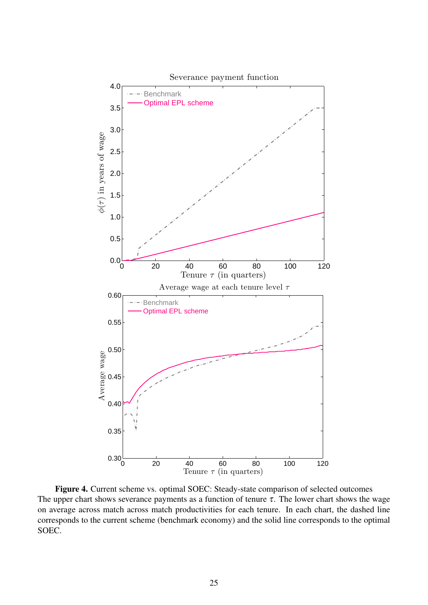<span id="page-26-0"></span>

Figure 4. Current scheme vs. optimal SOEC: Steady-state comparison of selected outcomes The upper chart shows severance payments as a function of tenure  $\tau$ . The lower chart shows the wage on average across match across match productivities for each tenure. In each chart, the dashed line corresponds to the current scheme (benchmark economy) and the solid line corresponds to the optimal SOEC.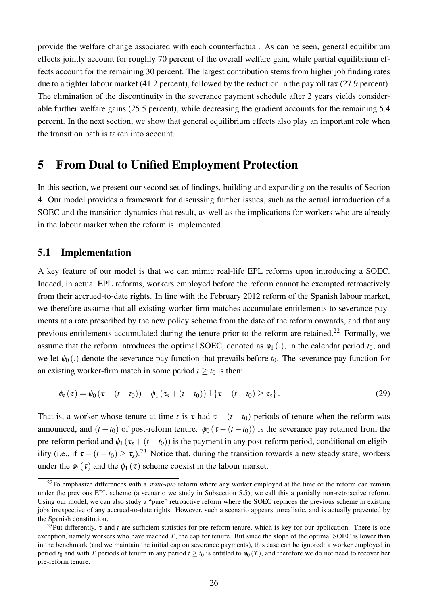provide the welfare change associated with each counterfactual. As can be seen, general equilibrium effects jointly account for roughly 70 percent of the overall welfare gain, while partial equilibrium effects account for the remaining 30 percent. The largest contribution stems from higher job finding rates due to a tighter labour market (41.2 percent), followed by the reduction in the payroll tax (27.9 percent). The elimination of the discontinuity in the severance payment schedule after 2 years yields considerable further welfare gains (25.5 percent), while decreasing the gradient accounts for the remaining 5.4 percent. In the next section, we show that general equilibrium effects also play an important role when the transition path is taken into account.

# <span id="page-27-0"></span>5 From Dual to Unified Employment Protection

In this section, we present our second set of findings, building and expanding on the results of Section [4.](#page-22-0) Our model provides a framework for discussing further issues, such as the actual introduction of a SOEC and the transition dynamics that result, as well as the implications for workers who are already in the labour market when the reform is implemented.

### 5.1 Implementation

A key feature of our model is that we can mimic real-life EPL reforms upon introducing a SOEC. Indeed, in actual EPL reforms, workers employed before the reform cannot be exempted retroactively from their accrued-to-date rights. In line with the February 2012 reform of the Spanish labour market, we therefore assume that all existing worker-firm matches accumulate entitlements to severance payments at a rate prescribed by the new policy scheme from the date of the reform onwards, and that any previous entitlements accumulated during the tenure prior to the reform are retained.<sup>[22](#page--1-0)</sup> Formally, we assume that the reform introduces the optimal SOEC, denoted as  $\phi_1(.)$ , in the calendar period  $t_0$ , and we let  $\phi_0(.)$  denote the severance pay function that prevails before  $t_0$ . The severance pay function for an existing worker-firm match in some period  $t \ge t_0$  is then:

<span id="page-27-1"></span>
$$
\phi_t(\tau) = \phi_0(\tau - (t - t_0)) + \phi_1(\tau_s + (t - t_0)) \mathbb{1}\left\{\tau - (t - t_0) \geq \tau_s\right\}.
$$
\n(29)

That is, a worker whose tenure at time *t* is  $\tau$  had  $\tau - (t - t_0)$  periods of tenure when the reform was announced, and  $(t - t_0)$  of post-reform tenure.  $\phi_0 (\tau - (t - t_0))$  is the severance pay retained from the pre-reform period and  $\phi_1(\tau_s + (t - t_0))$  is the payment in any post-reform period, conditional on eligibility (i.e., if  $\tau - (t - t_0) > \tau_s$ ).<sup>[23](#page--1-0)</sup> Notice that, during the transition towards a new steady state, workers under the  $\phi_t(\tau)$  and the  $\phi_1(\tau)$  scheme coexist in the labour market.

<sup>&</sup>lt;sup>22</sup>To emphasize differences with a *statu-quo* reform where any worker employed at the time of the reform can remain under the previous EPL scheme (a scenario we study in Subsection [5.5\)](#page-31-0), we call this a partially non-retroactive reform. Using our model, we can also study a "pure" retroactive reform where the SOEC replaces the previous scheme in existing jobs irrespective of any accrued-to-date rights. However, such a scenario appears unrealistic, and is actually prevented by the Spanish constitution.

<sup>&</sup>lt;sup>23</sup>Put differently,  $\tau$  and  $t$  are sufficient statistics for pre-reform tenure, which is key for our application. There is one exception, namely workers who have reached  $T$ , the cap for tenure. But since the slope of the optimal SOEC is lower than in the benchmark (and we maintain the initial cap on severance payments), this case can be ignored: a worker employed in period  $t_0$  and with *T* periods of tenure in any period  $t \ge t_0$  is entitled to  $\phi_0(T)$ , and therefore we do not need to recover her pre-reform tenure.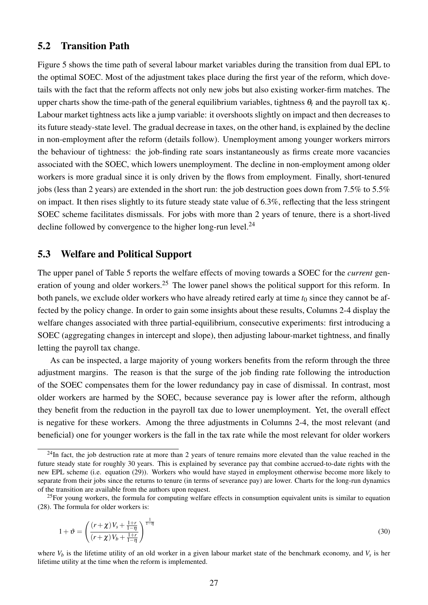### 5.2 Transition Path

Figure [5](#page-29-0) shows the time path of several labour market variables during the transition from dual EPL to the optimal SOEC. Most of the adjustment takes place during the first year of the reform, which dovetails with the fact that the reform affects not only new jobs but also existing worker-firm matches. The upper charts show the time-path of the general equilibrium variables, tightness  $\theta_t$  and the payroll tax  $\kappa_t$ . Labour market tightness acts like a jump variable: it overshoots slightly on impact and then decreases to its future steady-state level. The gradual decrease in taxes, on the other hand, is explained by the decline in non-employment after the reform (details follow). Unemployment among younger workers mirrors the behaviour of tightness: the job-finding rate soars instantaneously as firms create more vacancies associated with the SOEC, which lowers unemployment. The decline in non-employment among older workers is more gradual since it is only driven by the flows from employment. Finally, short-tenured jobs (less than 2 years) are extended in the short run: the job destruction goes down from 7.5% to 5.5% on impact. It then rises slightly to its future steady state value of 6.3%, reflecting that the less stringent SOEC scheme facilitates dismissals. For jobs with more than 2 years of tenure, there is a short-lived decline followed by convergence to the higher long-run level. $^{24}$  $^{24}$  $^{24}$ 

### 5.3 Welfare and Political Support

The upper panel of Table [5](#page-30-1) reports the welfare effects of moving towards a SOEC for the *current* gen-eration of young and older workers.<sup>[25](#page--1-0)</sup> The lower panel shows the political support for this reform. In both panels, we exclude older workers who have already retired early at time  $t_0$  since they cannot be affected by the policy change. In order to gain some insights about these results, Columns 2-4 display the welfare changes associated with three partial-equilibrium, consecutive experiments: first introducing a SOEC (aggregating changes in intercept and slope), then adjusting labour-market tightness, and finally letting the payroll tax change.

As can be inspected, a large majority of young workers benefits from the reform through the three adjustment margins. The reason is that the surge of the job finding rate following the introduction of the SOEC compensates them for the lower redundancy pay in case of dismissal. In contrast, most older workers are harmed by the SOEC, because severance pay is lower after the reform, although they benefit from the reduction in the payroll tax due to lower unemployment. Yet, the overall effect is negative for these workers. Among the three adjustments in Columns 2-4, the most relevant (and beneficial) one for younger workers is the fall in the tax rate while the most relevant for older workers

$$
1 + \vartheta = \left(\frac{(r+\chi)V_s + \frac{1+r}{1-\eta}}{(r+\chi)V_b + \frac{1+r}{1-\eta}}\right)^{\frac{1}{1-\eta}}
$$
(30)

where *V<sup>b</sup>* is the lifetime utility of an old worker in a given labour market state of the benchmark economy, and *V<sup>s</sup>* is her lifetime utility at the time when the reform is implemented.

 $^{24}$ In fact, the job destruction rate at more than 2 years of tenure remains more elevated than the value reached in the future steady state for roughly 30 years. This is explained by severance pay that combine accrued-to-date rights with the new EPL scheme (i.e. equation [\(29\)](#page-27-1)). Workers who would have stayed in employment otherwise become more likely to separate from their jobs since the returns to tenure (in terms of severance pay) are lower. Charts for the long-run dynamics of the transition are available from the authors upon request.

 $^{25}$ For young workers, the formula for computing welfare effects in consumption equivalent units is similar to equation [\(28\)](#page-23-1). The formula for older workers is: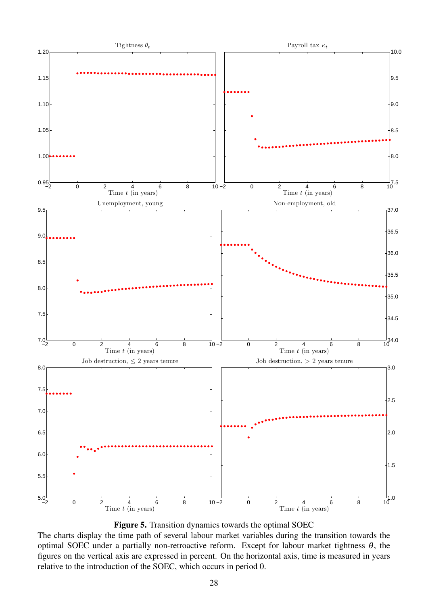<span id="page-29-0"></span>

Figure 5. Transition dynamics towards the optimal SOEC

The charts display the time path of several labour market variables during the transition towards the optimal SOEC under a partially non-retroactive reform. Except for labour market tightness  $\theta$ , the figures on the vertical axis are expressed in percent. On the horizontal axis, time is measured in years relative to the introduction of the SOEC, which occurs in period 0.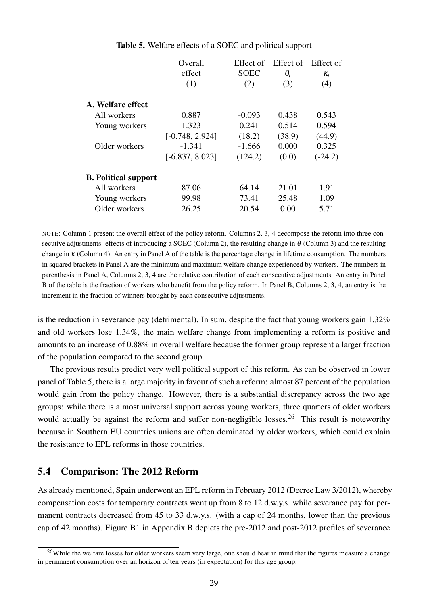<span id="page-30-1"></span>

|                             | Overall           | Effect of   | Effect of  | Effect of  |
|-----------------------------|-------------------|-------------|------------|------------|
|                             | effect            | <b>SOEC</b> | $\theta_t$ | $\kappa_t$ |
|                             | (1)               | (2)         | (3)        | (4)        |
| A. Welfare effect           |                   |             |            |            |
| All workers                 | 0.887             | $-0.093$    | 0.438      | 0.543      |
| Young workers               | 1.323             | 0.241       | 0.514      | 0.594      |
|                             | $[-0.748, 2.924]$ | (18.2)      | (38.9)     | (44.9)     |
| Older workers               | $-1.341$          | $-1.666$    | 0.000      | 0.325      |
|                             | $[-6.837, 8.023]$ | (124.2)     | (0.0)      | $(-24.2)$  |
| <b>B.</b> Political support |                   |             |            |            |
| All workers                 | 87.06             | 64.14       | 21.01      | 1.91       |
| Young workers               | 99.98             | 73.41       | 25.48      | 1.09       |
| Older workers               | 26.25             | 20.54       | 0.00       | 5.71       |
|                             |                   |             |            |            |

Table 5. Welfare effects of a SOEC and political support

NOTE: Column 1 present the overall effect of the policy reform. Columns 2, 3, 4 decompose the reform into three consecutive adjustments: effects of introducing a SOEC (Column 2), the resulting change in  $\theta$  (Column 3) and the resulting change in  $\kappa$  (Column 4). An entry in Panel A of the table is the percentage change in lifetime consumption. The numbers in squared brackets in Panel A are the minimum and maximum welfare change experienced by workers. The numbers in parenthesis in Panel A, Columns 2, 3, 4 are the relative contribution of each consecutive adjustments. An entry in Panel B of the table is the fraction of workers who benefit from the policy reform. In Panel B, Columns 2, 3, 4, an entry is the increment in the fraction of winners brought by each consecutive adjustments.

is the reduction in severance pay (detrimental). In sum, despite the fact that young workers gain 1.32% and old workers lose 1.34%, the main welfare change from implementing a reform is positive and amounts to an increase of 0.88% in overall welfare because the former group represent a larger fraction of the population compared to the second group.

The previous results predict very well political support of this reform. As can be observed in lower panel of Table [5,](#page-30-1) there is a large majority in favour of such a reform: almost 87 percent of the population would gain from the policy change. However, there is a substantial discrepancy across the two age groups: while there is almost universal support across young workers, three quarters of older workers would actually be against the reform and suffer non-negligible losses.<sup>[26](#page--1-0)</sup> This result is noteworthy because in Southern EU countries unions are often dominated by older workers, which could explain the resistance to EPL reforms in those countries.

### <span id="page-30-0"></span>5.4 Comparison: The 2012 Reform

As already mentioned, Spain underwent an EPL reform in February 2012 (Decree Law 3/2012), whereby compensation costs for temporary contracts went up from 8 to 12 d.w.y.s. while severance pay for permanent contracts decreased from 45 to 33 d.w.y.s. (with a cap of 24 months, lower than the previous cap of 42 months). Figure [B1](#page-41-1) in Appendix [B](#page-41-0) depicts the pre-2012 and post-2012 profiles of severance

<sup>&</sup>lt;sup>26</sup>While the welfare losses for older workers seem very large, one should bear in mind that the figures measure a change in permanent consumption over an horizon of ten years (in expectation) for this age group.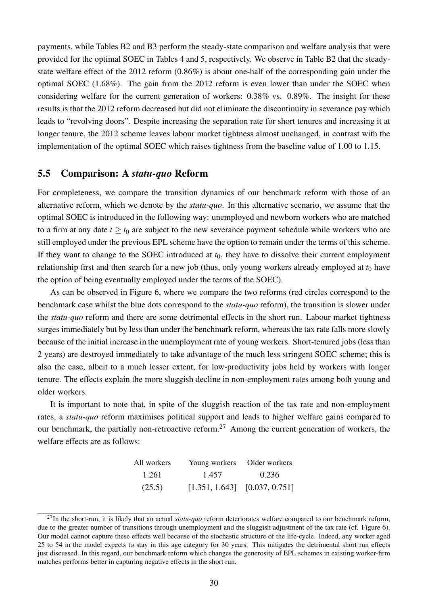payments, while Tables [B2](#page-42-0) and [B3](#page-42-1) perform the steady-state comparison and welfare analysis that were provided for the optimal SOEC in Tables [4](#page-25-0) and [5,](#page-30-1) respectively. We observe in Table [B2](#page-42-0) that the steadystate welfare effect of the 2012 reform (0.86%) is about one-half of the corresponding gain under the optimal SOEC (1.68%). The gain from the 2012 reform is even lower than under the SOEC when considering welfare for the current generation of workers: 0.38% vs. 0.89%. The insight for these results is that the 2012 reform decreased but did not eliminate the discontinuity in severance pay which leads to "revolving doors". Despite increasing the separation rate for short tenures and increasing it at longer tenure, the 2012 scheme leaves labour market tightness almost unchanged, in contrast with the implementation of the optimal SOEC which raises tightness from the baseline value of 1.00 to 1.15.

### <span id="page-31-0"></span>5.5 Comparison: A *statu-quo* Reform

For completeness, we compare the transition dynamics of our benchmark reform with those of an alternative reform, which we denote by the *statu-quo*. In this alternative scenario, we assume that the optimal SOEC is introduced in the following way: unemployed and newborn workers who are matched to a firm at any date  $t \ge t_0$  are subject to the new severance payment schedule while workers who are still employed under the previous EPL scheme have the option to remain under the terms of this scheme. If they want to change to the SOEC introduced at  $t_0$ , they have to dissolve their current employment relationship first and then search for a new job (thus, only young workers already employed at  $t_0$  have the option of being eventually employed under the terms of the SOEC).

As can be observed in Figure [6,](#page-32-0) where we compare the two reforms (red circles correspond to the benchmark case whilst the blue dots correspond to the *statu-quo* reform), the transition is slower under the *statu-quo* reform and there are some detrimental effects in the short run. Labour market tightness surges immediately but by less than under the benchmark reform, whereas the tax rate falls more slowly because of the initial increase in the unemployment rate of young workers. Short-tenured jobs (less than 2 years) are destroyed immediately to take advantage of the much less stringent SOEC scheme; this is also the case, albeit to a much lesser extent, for low-productivity jobs held by workers with longer tenure. The effects explain the more sluggish decline in non-employment rates among both young and older workers.

It is important to note that, in spite of the sluggish reaction of the tax rate and non-employment rates, a *statu-quo* reform maximises political support and leads to higher welfare gains compared to our benchmark, the partially non-retroactive reform.<sup>[27](#page--1-0)</sup> Among the current generation of workers, the welfare effects are as follows:

| All workers | Young workers Older workers       |       |
|-------------|-----------------------------------|-------|
| 1.261       | 1.457                             | 0.236 |
| (25.5)      | $[1.351, 1.643]$ $[0.037, 0.751]$ |       |

<sup>&</sup>lt;sup>27</sup>In the short-run, it is likely that an actual *statu-quo* reform deteriorates welfare compared to our benchmark reform, due to the greater number of transitions through unemployment and the sluggish adjustment of the tax rate (cf. Figure [6\)](#page-32-0). Our model cannot capture these effects well because of the stochastic structure of the life-cycle. Indeed, any worker aged 25 to 54 in the model expects to stay in this age category for 30 years. This mitigates the detrimental short run effects just discussed. In this regard, our benchmark reform which changes the generosity of EPL schemes in existing worker-firm matches performs better in capturing negative effects in the short run.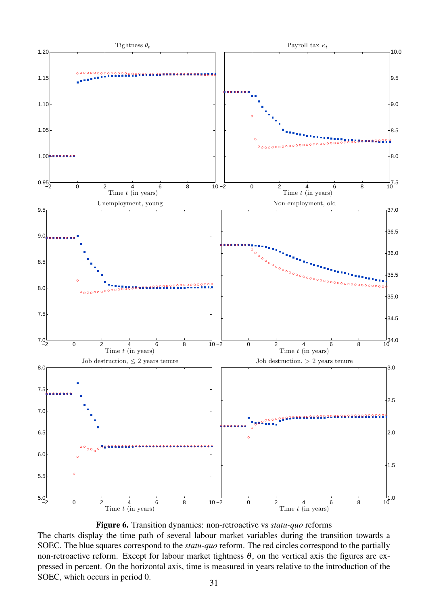<span id="page-32-0"></span>



The charts display the time path of several labour market variables during the transition towards a SOEC. The blue squares correspond to the *statu-quo* reform. The red circles correspond to the partially non-retroactive reform. Except for labour market tightness  $θ$ , on the vertical axis the figures are expressed in percent. On the horizontal axis, time is measured in years relative to the introduction of the SOEC, which occurs in period 0.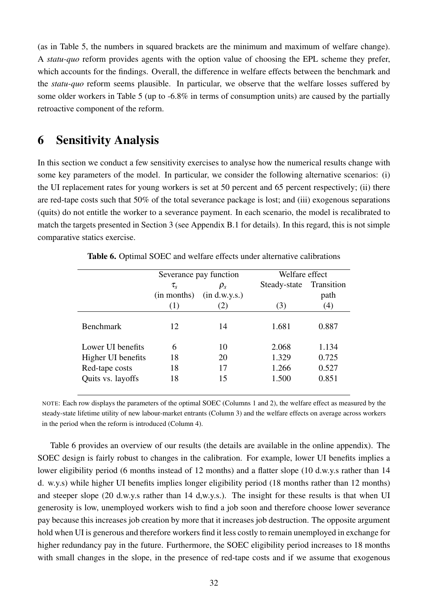(as in Table [5,](#page-30-1) the numbers in squared brackets are the minimum and maximum of welfare change). A *statu-quo* reform provides agents with the option value of choosing the EPL scheme they prefer, which accounts for the findings. Overall, the difference in welfare effects between the benchmark and the *statu-quo* reform seems plausible. In particular, we observe that the welfare losses suffered by some older workers in Table [5](#page-30-1) (up to -6.8% in terms of consumption units) are caused by the partially retroactive component of the reform.

# <span id="page-33-0"></span>6 Sensitivity Analysis

In this section we conduct a few sensitivity exercises to analyse how the numerical results change with some key parameters of the model. In particular, we consider the following alternative scenarios: (i) the UI replacement rates for young workers is set at 50 percent and 65 percent respectively; (ii) there are red-tape costs such that 50% of the total severance package is lost; and (iii) exogenous separations (quits) do not entitle the worker to a severance payment. In each scenario, the model is recalibrated to match the targets presented in Section [3](#page-15-0) (see Appendix [B.1](#page-41-2) for details). In this regard, this is not simple comparative statics exercise.

<span id="page-33-1"></span>

|                    |                | Severance pay function | Welfare effect |            |
|--------------------|----------------|------------------------|----------------|------------|
|                    | $\tau_{\rm s}$ | $\rho_s$               | Steady-state   | Transition |
|                    | (in months)    | $(in$ d.w.y.s. $)$     |                | path       |
|                    | (1)            | (2)                    | (3)            | (4)        |
| <b>Benchmark</b>   | 12             | 14                     | 1.681          | 0.887      |
| Lower III benefits | 6              | 10                     | 2.068          | 1.134      |
| Higher UI benefits | 18             | 20                     | 1.329          | 0.725      |
| Red-tape costs     | 18             | 17                     | 1.266          | 0.527      |
| Quits vs. layoffs  | 18             | 15                     | 1.500          | 0.851      |

Table 6. Optimal SOEC and welfare effects under alternative calibrations

NOTE: Each row displays the parameters of the optimal SOEC (Columns 1 and 2), the welfare effect as measured by the steady-state lifetime utility of new labour-market entrants (Column 3) and the welfare effects on average across workers in the period when the reform is introduced (Column 4).

Table [6](#page-33-1) provides an overview of our results (the details are available in the online appendix). The SOEC design is fairly robust to changes in the calibration. For example, lower UI benefits implies a lower eligibility period (6 months instead of 12 months) and a flatter slope (10 d.w.y.s rather than 14 d. w.y.s) while higher UI benefits implies longer eligibility period (18 months rather than 12 months) and steeper slope (20 d.w.y.s rather than 14 d,w.y.s.). The insight for these results is that when UI generosity is low, unemployed workers wish to find a job soon and therefore choose lower severance pay because this increases job creation by more that it increases job destruction. The opposite argument hold when UI is generous and therefore workers find it less costly to remain unemployed in exchange for higher redundancy pay in the future. Furthermore, the SOEC eligibility period increases to 18 months with small changes in the slope, in the presence of red-tape costs and if we assume that exogenous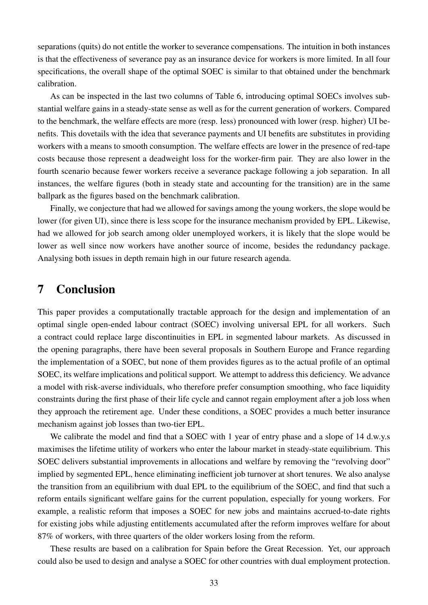separations (quits) do not entitle the worker to severance compensations. The intuition in both instances is that the effectiveness of severance pay as an insurance device for workers is more limited. In all four specifications, the overall shape of the optimal SOEC is similar to that obtained under the benchmark calibration.

As can be inspected in the last two columns of Table [6,](#page-33-1) introducing optimal SOECs involves substantial welfare gains in a steady-state sense as well as for the current generation of workers. Compared to the benchmark, the welfare effects are more (resp. less) pronounced with lower (resp. higher) UI benefits. This dovetails with the idea that severance payments and UI benefits are substitutes in providing workers with a means to smooth consumption. The welfare effects are lower in the presence of red-tape costs because those represent a deadweight loss for the worker-firm pair. They are also lower in the fourth scenario because fewer workers receive a severance package following a job separation. In all instances, the welfare figures (both in steady state and accounting for the transition) are in the same ballpark as the figures based on the benchmark calibration.

Finally, we conjecture that had we allowed for savings among the young workers, the slope would be lower (for given UI), since there is less scope for the insurance mechanism provided by EPL. Likewise, had we allowed for job search among older unemployed workers, it is likely that the slope would be lower as well since now workers have another source of income, besides the redundancy package. Analysing both issues in depth remain high in our future research agenda.

# <span id="page-34-0"></span>7 Conclusion

This paper provides a computationally tractable approach for the design and implementation of an optimal single open-ended labour contract (SOEC) involving universal EPL for all workers. Such a contract could replace large discontinuities in EPL in segmented labour markets. As discussed in the opening paragraphs, there have been several proposals in Southern Europe and France regarding the implementation of a SOEC, but none of them provides figures as to the actual profile of an optimal SOEC, its welfare implications and political support. We attempt to address this deficiency. We advance a model with risk-averse individuals, who therefore prefer consumption smoothing, who face liquidity constraints during the first phase of their life cycle and cannot regain employment after a job loss when they approach the retirement age. Under these conditions, a SOEC provides a much better insurance mechanism against job losses than two-tier EPL.

We calibrate the model and find that a SOEC with 1 year of entry phase and a slope of 14 d.w.y.s maximises the lifetime utility of workers who enter the labour market in steady-state equilibrium. This SOEC delivers substantial improvements in allocations and welfare by removing the "revolving door" implied by segmented EPL, hence eliminating inefficient job turnover at short tenures. We also analyse the transition from an equilibrium with dual EPL to the equilibrium of the SOEC, and find that such a reform entails significant welfare gains for the current population, especially for young workers. For example, a realistic reform that imposes a SOEC for new jobs and maintains accrued-to-date rights for existing jobs while adjusting entitlements accumulated after the reform improves welfare for about 87% of workers, with three quarters of the older workers losing from the reform.

These results are based on a calibration for Spain before the Great Recession. Yet, our approach could also be used to design and analyse a SOEC for other countries with dual employment protection.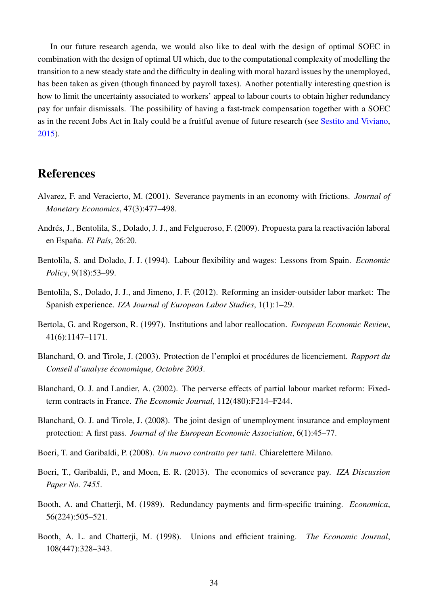In our future research agenda, we would also like to deal with the design of optimal SOEC in combination with the design of optimal UI which, due to the computational complexity of modelling the transition to a new steady state and the difficulty in dealing with moral hazard issues by the unemployed, has been taken as given (though financed by payroll taxes). Another potentially interesting question is how to limit the uncertainty associated to workers' appeal to labour courts to obtain higher redundancy pay for unfair dismissals. The possibility of having a fast-track compensation together with a SOEC as in the recent Jobs Act in Italy could be a fruitful avenue of future research (see [Sestito and Viviano,](#page-37-3) [2015\)](#page-37-3).

# References

- <span id="page-35-9"></span>Alvarez, F. and Veracierto, M. (2001). Severance payments in an economy with frictions. *Journal of Monetary Economics*, 47(3):477–498.
- <span id="page-35-7"></span>Andrés, J., Bentolila, S., Dolado, J. J., and Felgueroso, F. (2009). Propuesta para la reactivación laboral en España. *El País*, 26:20.
- <span id="page-35-2"></span>Bentolila, S. and Dolado, J. J. (1994). Labour flexibility and wages: Lessons from Spain. *Economic Policy*, 9(18):53–99.
- <span id="page-35-1"></span>Bentolila, S., Dolado, J. J., and Jimeno, J. F. (2012). Reforming an insider-outsider labor market: The Spanish experience. *IZA Journal of European Labor Studies*, 1(1):1–29.
- <span id="page-35-11"></span>Bertola, G. and Rogerson, R. (1997). Institutions and labor reallocation. *European Economic Review*, 41(6):1147–1171.
- <span id="page-35-5"></span>Blanchard, O. and Tirole, J. (2003). Protection de l'emploi et procédures de licenciement. *Rapport du Conseil d'analyse économique, Octobre 2003*.
- <span id="page-35-0"></span>Blanchard, O. J. and Landier, A. (2002). The perverse effects of partial labour market reform: Fixedterm contracts in France. *The Economic Journal*, 112(480):F214–F244.
- <span id="page-35-8"></span>Blanchard, O. J. and Tirole, J. (2008). The joint design of unemployment insurance and employment protection: A first pass. *Journal of the European Economic Association*, 6(1):45–77.
- <span id="page-35-6"></span>Boeri, T. and Garibaldi, P. (2008). *Un nuovo contratto per tutti*. Chiarelettere Milano.
- <span id="page-35-10"></span>Boeri, T., Garibaldi, P., and Moen, E. R. (2013). The economics of severance pay. *IZA Discussion Paper No. 7455*.
- <span id="page-35-3"></span>Booth, A. and Chatterji, M. (1989). Redundancy payments and firm-specific training. *Economica*, 56(224):505–521.
- <span id="page-35-4"></span>Booth, A. L. and Chatterji, M. (1998). Unions and efficient training. *The Economic Journal*, 108(447):328–343.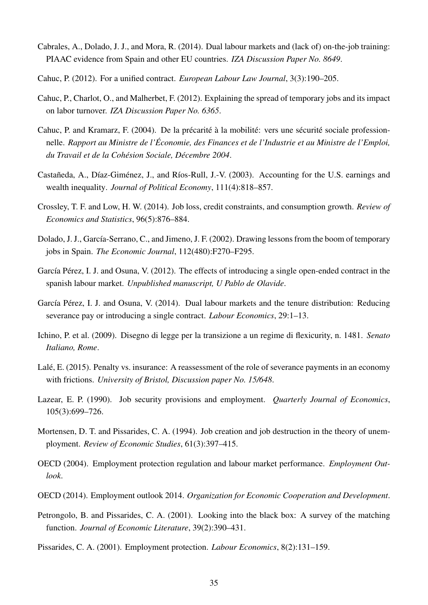- <span id="page-36-2"></span>Cabrales, A., Dolado, J. J., and Mora, R. (2014). Dual labour markets and (lack of) on-the-job training: PIAAC evidence from Spain and other EU countries. *IZA Discussion Paper No. 8649*.
- <span id="page-36-4"></span>Cahuc, P. (2012). For a unified contract. *European Labour Law Journal*, 3(3):190–205.
- <span id="page-36-1"></span>Cahuc, P., Charlot, O., and Malherbet, F. (2012). Explaining the spread of temporary jobs and its impact on labor turnover. *IZA Discussion Paper No. 6365*.
- <span id="page-36-3"></span>Cahuc, P. and Kramarz, F. (2004). De la précarité à la mobilité: vers une sécurité sociale professionnelle. *Rapport au Ministre de l'Économie, des Finances et de l'Industrie et au Ministre de l'Emploi, du Travail et de la Cohésion Sociale, Décembre 2004*.
- <span id="page-36-12"></span>Castañeda, A., Díaz-Giménez, J., and Ríos-Rull, J.-V. (2003). Accounting for the U.S. earnings and wealth inequality. *Journal of Political Economy*, 111(4):818–857.
- <span id="page-36-8"></span>Crossley, T. F. and Low, H. W. (2014). Job loss, credit constraints, and consumption growth. *Review of Economics and Statistics*, 96(5):876–884.
- <span id="page-36-9"></span>Dolado, J. J., García-Serrano, C., and Jimeno, J. F. (2002). Drawing lessons from the boom of temporary jobs in Spain. *The Economic Journal*, 112(480):F270–F295.
- <span id="page-36-15"></span>García Pérez, I. J. and Osuna, V. (2012). The effects of introducing a single open-ended contract in the spanish labour market. *Unpublished manuscript, U Pablo de Olavide*.
- <span id="page-36-11"></span>García Pérez, I. J. and Osuna, V. (2014). Dual labour markets and the tenure distribution: Reducing severance pay or introducing a single contract. *Labour Economics*, 29:1–13.
- <span id="page-36-5"></span>Ichino, P. et al. (2009). Disegno di legge per la transizione a un regime di flexicurity, n. 1481. *Senato Italiano, Rome*.
- <span id="page-36-10"></span>Lalé, E. (2015). Penalty vs. insurance: A reassessment of the role of severance payments in an economy with frictions. *University of Bristol, Discussion paper No. 15/648*.
- <span id="page-36-13"></span>Lazear, E. P. (1990). Job security provisions and employment. *Quarterly Journal of Economics*, 105(3):699–726.
- <span id="page-36-6"></span>Mortensen, D. T. and Pissarides, C. A. (1994). Job creation and job destruction in the theory of unemployment. *Review of Economic Studies*, 61(3):397–415.
- <span id="page-36-16"></span>OECD (2004). Employment protection regulation and labour market performance. *Employment Outlook*.
- <span id="page-36-7"></span>OECD (2014). Employment outlook 2014. *Organization for Economic Cooperation and Development*.
- <span id="page-36-14"></span>Petrongolo, B. and Pissarides, C. A. (2001). Looking into the black box: A survey of the matching function. *Journal of Economic Literature*, 39(2):390–431.
- <span id="page-36-0"></span>Pissarides, C. A. (2001). Employment protection. *Labour Economics*, 8(2):131–159.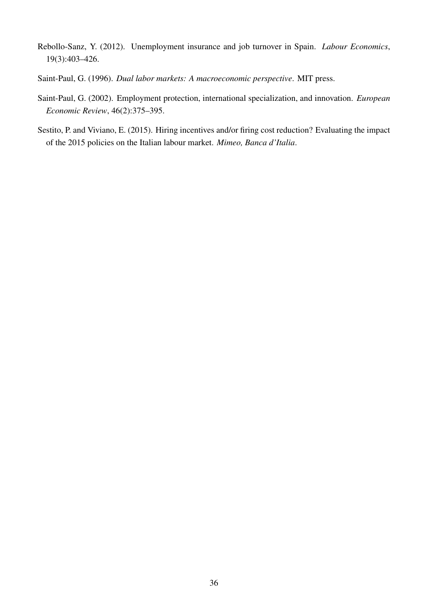- <span id="page-37-2"></span>Rebollo-Sanz, Y. (2012). Unemployment insurance and job turnover in Spain. *Labour Economics*, 19(3):403–426.
- <span id="page-37-0"></span>Saint-Paul, G. (1996). *Dual labor markets: A macroeconomic perspective*. MIT press.
- <span id="page-37-1"></span>Saint-Paul, G. (2002). Employment protection, international specialization, and innovation. *European Economic Review*, 46(2):375–395.
- <span id="page-37-3"></span>Sestito, P. and Viviano, E. (2015). Hiring incentives and/or firing cost reduction? Evaluating the impact of the 2015 policies on the Italian labour market. *Mimeo, Banca d'Italia*.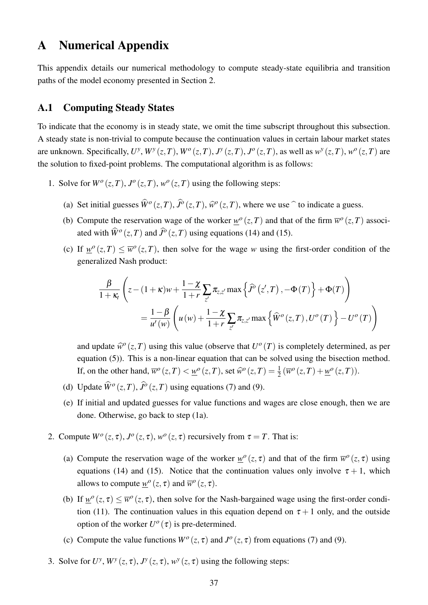# <span id="page-38-0"></span>A Numerical Appendix

This appendix details our numerical methodology to compute steady-state equilibria and transition paths of the model economy presented in Section [2.](#page-7-0)

### A.1 Computing Steady States

To indicate that the economy is in steady state, we omit the time subscript throughout this subsection. A steady state is non-trivial to compute because the continuation values in certain labour market states are unknown. Specifically,  $U^y$ ,  $W^y(z,T)$ ,  $W^o(z,T)$ ,  $J^y(z,T)$ ,  $J^o(z,T)$ , as well as  $w^y(z,T)$ ,  $w^o(z,T)$  are the solution to fixed-point problems. The computational algorithm is as follows:

- <span id="page-38-4"></span><span id="page-38-3"></span><span id="page-38-2"></span><span id="page-38-1"></span>1. Solve for  $W^o(z,T)$ ,  $J^o(z,T)$ ,  $w^o(z,T)$  using the following steps:
	- (a) Set initial guesses  $\widehat{W}^o(z,T)$ ,  $\widehat{J}^o(z,T)$ ,  $\widehat{w}^o(z,T)$ , where we use  $\widehat{\ }$  to indicate a guess.
	- (b) Compute the reservation wage of the worker  $w^{\circ}(z,T)$  and that of the firm  $\overline{w}^{\circ}(z,T)$  associated with  $\widehat{W}^o(z,T)$  and  $\widehat{J}^o(z,T)$  using equations [\(14\)](#page-12-3) and [\(15\)](#page-12-4).
	- (c) If  $w^{\circ}(z,T) \leq \overline{w}^{\circ}(z,T)$ , then solve for the wage *w* using the first-order condition of the generalized Nash product:

$$
\frac{\beta}{1+\kappa_t} \left( z - (1+\kappa)w + \frac{1-\chi}{1+r} \sum_{z'} \pi_{z,z'} \max \left\{ \widehat{J}^o(z',T) - \Phi(T) \right\} + \Phi(T) \right)
$$
  
=  $\frac{1-\beta}{u'(w)} \left( u(w) + \frac{1-\chi}{1+r} \sum_{z'} \pi_{z,z'} \max \left\{ \widehat{W}^o(z,T), U^o(T) \right\} - U^o(T) \right)$ 

and update  $\hat{w}^o(z,T)$  using this value (observe that  $U^o(T)$  is completely determined, as per equation [\(5\)](#page-10-1)). This is a non-linear equation that can be solved using the bisection method. If, on the other hand,  $\overline{w}^o(z,T) < \underline{w}^o(z,T)$ , set  $\widehat{w}^o(z,T) = \frac{1}{2} (\overline{w}^o(z,T) + \underline{w}^o(z,T))$ .

- (d) Update  $\widehat{W}^o(z,T)$ ,  $\widehat{J}^o(z,T)$  using equations [\(7\)](#page-10-2) and [\(9\)](#page-11-2).
- (e) If initial and updated guesses for value functions and wages are close enough, then we are done. Otherwise, go back to step [\(1a\)](#page-38-1).
- <span id="page-38-5"></span>2. Compute  $W^o(z, \tau)$ ,  $J^o(z, \tau)$ ,  $w^o(z, \tau)$  recursively from  $\tau = T$ . That is:
	- (a) Compute the reservation wage of the worker  $w^{\circ}(z, \tau)$  and that of the firm  $\overline{w}^{\circ}(z, \tau)$  using equations [\(14\)](#page-12-3) and [\(15\)](#page-12-4). Notice that the continuation values only involve  $\tau + 1$ , which allows to compute  $w^o(z, \tau)$  and  $\overline{w}^o(z, \tau)$ .
	- (b) If  $\underline{w}^o(z,\tau) \le \overline{w}^o(z,\tau)$ , then solve for the Nash-bargained wage using the first-order condi-tion [\(11\)](#page-11-1). The continuation values in this equation depend on  $\tau + 1$  only, and the outside option of the worker  $U^{\circ}(\tau)$  is pre-determined.
	- (c) Compute the value functions  $W^{\circ}(z, \tau)$  and  $J^{\circ}(z, \tau)$  from equations [\(7\)](#page-10-2) and [\(9\)](#page-11-2).
- 3. Solve for  $U^y$ ,  $W^y(z, \tau)$ ,  $J^y(z, \tau)$ ,  $w^y(z, \tau)$  using the following steps: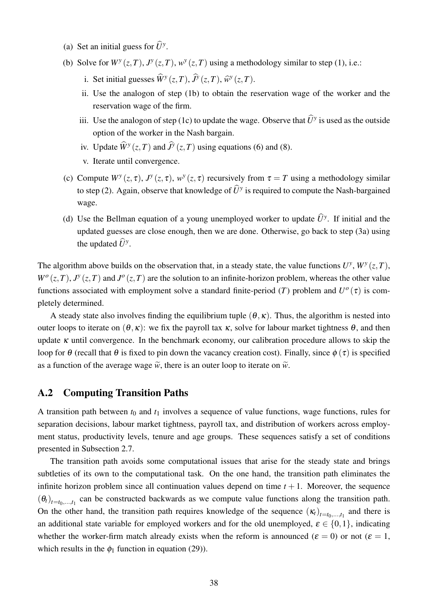- <span id="page-39-0"></span>(a) Set an initial guess for  $\widehat{U}^y$ .
- (b) Solve for  $W^y(z,T)$ ,  $J^y(z,T)$ ,  $w^y(z,T)$  using a methodology similar to step [\(1\)](#page-38-2), i.e.:
	- i. Set initial guesses  $\widehat{W}^y(z,T)$ ,  $\widehat{J}^y(z,T)$ ,  $\widehat{w}^y(z,T)$ .
	- ii. Use the analogon of step [\(1b\)](#page-38-3) to obtain the reservation wage of the worker and the reservation wage of the firm.
	- iii. Use the analogon of step [\(1c\)](#page-38-4) to update the wage. Observe that  $\widehat{U}^y$  is used as the outside option of the worker in the Nash bargain.
	- iv. Update  $\widehat{W}^y(z,T)$  and  $\widehat{J}^y(z,T)$  using equations [\(6\)](#page-10-3) and [\(8\)](#page-11-3).
	- v. Iterate until convergence.
- (c) Compute  $W^y(z, \tau)$ ,  $J^y(z, \tau)$ ,  $w^y(z, \tau)$  recursively from  $\tau = T$  using a methodology similar to step [\(2\)](#page-38-5). Again, observe that knowledge of  $\widehat{U}^y$  is required to compute the Nash-bargained wage.
- (d) Use the Bellman equation of a young unemployed worker to update  $\hat{U}^y$ . If initial and the updated guesses are close enough, then we are done. Otherwise, go back to step [\(3a\)](#page-39-0) using the updated  $\widehat{U}^y$ .

The algorithm above builds on the observation that, in a steady state, the value functions  $U^y$ ,  $W^y(z,T)$ ,  $W^o(z,T)$ ,  $J^y(z,T)$  and  $J^o(z,T)$  are the solution to an infinite-horizon problem, whereas the other value functions associated with employment solve a standard finite-period (*T*) problem and  $U^o(\tau)$  is completely determined.

A steady state also involves finding the equilibrium tuple  $(\theta, \kappa)$ . Thus, the algorithm is nested into outer loops to iterate on  $(θ, κ)$ : we fix the payroll tax κ, solve for labour market tightness  $θ$ , and then update  $\kappa$  until convergence. In the benchmark economy, our calibration procedure allows to skip the loop for  $\theta$  (recall that  $\theta$  is fixed to pin down the vacancy creation cost). Finally, since  $\phi(\tau)$  is specified as a function of the average wage  $\tilde{w}$ , there is an outer loop to iterate on  $\tilde{w}$ .

### A.2 Computing Transition Paths

A transition path between  $t_0$  and  $t_1$  involves a sequence of value functions, wage functions, rules for separation decisions, labour market tightness, payroll tax, and distribution of workers across employment status, productivity levels, tenure and age groups. These sequences satisfy a set of conditions presented in Subsection [2.7.](#page-14-1)

The transition path avoids some computational issues that arise for the steady state and brings subtleties of its own to the computational task. On the one hand, the transition path eliminates the infinite horizon problem since all continuation values depend on time  $t + 1$ . Moreover, the sequence  $(\theta_t)_{t=t_0,\dots,t_1}$  can be constructed backwards as we compute value functions along the transition path. On the other hand, the transition path requires knowledge of the sequence  $(\kappa_t)_{t=t_0,\dots,t_1}$  and there is an additional state variable for employed workers and for the old unemployed,  $\varepsilon \in \{0,1\}$ , indicating whether the worker-firm match already exists when the reform is announced ( $\varepsilon = 0$ ) or not ( $\varepsilon = 1$ , which results in the  $\phi_1$  function in equation [\(29\)](#page-27-1)).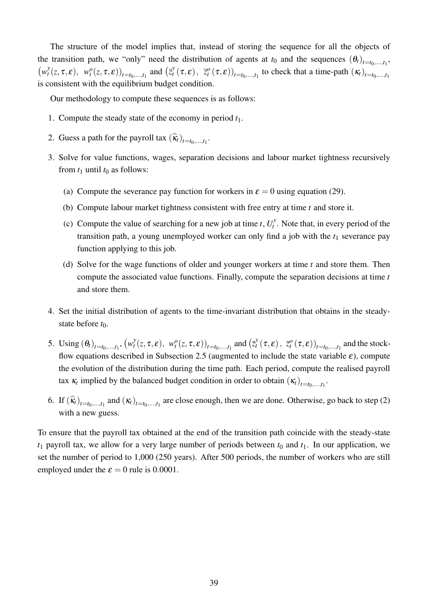The structure of the model implies that, instead of storing the sequence for all the objects of the transition path, we "only" need the distribution of agents at  $t_0$  and the sequences  $(\theta_t)_{t=t_0,\dots,t_1}$ ,  $(w_t^y)$  $\mathcal{L}_t^y(z,\tau,\varepsilon), \ w_t^o(z,\tau,\varepsilon))_{t=t_0,...,t_1}$  and  $(\bar{z}_t^y)$  $(\mathbf{x}_t^y(\tau, \varepsilon))$ ,  $\overline{z}_t^o(\tau, \varepsilon)$ <sub>*t*=*t*<sub>0</sub>,...,*t*<sub>1</sub></sub> to check that a time-path  $(\kappa_t)$ <sub>*t*=*t*<sub>0</sub>,...,*t*<sub>1</sub></sub> is consistent with the equilibrium budget condition.

Our methodology to compute these sequences is as follows:

- 1. Compute the steady state of the economy in period *t*1.
- <span id="page-40-0"></span>2. Guess a path for the payroll tax  $(\widehat{k}_t)_{t=t_0,\ldots,t_1}$ .
- 3. Solve for value functions, wages, separation decisions and labour market tightness recursively from  $t_1$  until  $t_0$  as follows:
	- (a) Compute the severance pay function for workers in  $\varepsilon = 0$  using equation [\(29\)](#page-27-1).
	- (b) Compute labour market tightness consistent with free entry at time *t* and store it.
	- (c) Compute the value of searching for a new job at time *t*,  $U_t^y$  $t_t^y$ . Note that, in every period of the transition path, a young unemployed worker can only find a job with the  $t_1$  severance pay function applying to this job.
	- (d) Solve for the wage functions of older and younger workers at time *t* and store them. Then compute the associated value functions. Finally, compute the separation decisions at time *t* and store them.
- 4. Set the initial distribution of agents to the time-invariant distribution that obtains in the steadystate before  $t_0$ .
- 5. Using  $(\theta_t)_{t=t_0,...,t_1}$ ,  $(w_t^y)$  $\left(\frac{y}{t}(z,\tau,\varepsilon), w_t^o(z,\tau,\varepsilon)\right)_{t=t_0,\ldots,t_1}$  and  $\left(\frac{z}{t}\right)$  $\mathcal{Z}_t^{\mathcal{Y}}(\tau,\boldsymbol{\varepsilon})\,,\,\, \bar{z}_t^o\left(\tau,\boldsymbol{\varepsilon}\right))_{t=t_0,...,t_1}$  and the stock-flow equations described in Subsection [2.5](#page-12-5) (augmented to include the state variable  $\varepsilon$ ), compute the evolution of the distribution during the time path. Each period, compute the realised payroll tax  $\kappa_t$  implied by the balanced budget condition in order to obtain  $(\kappa_t)_{t=t_0,...,t_1}$ .
- 6. If  $(\widehat{\mathbf{k}}_t)_{t=t_0,\dots,t_1}$  and  $(\mathbf{k}_t)_{t=t_0,\dots,t_1}$  are close enough, then we are done. Otherwise, go back to step [\(2\)](#page-40-0) with a new guess.

To ensure that the payroll tax obtained at the end of the transition path coincide with the steady-state  $t_1$  payroll tax, we allow for a very large number of periods between  $t_0$  and  $t_1$ . In our application, we set the number of period to 1,000 (250 years). After 500 periods, the number of workers who are still employed under the  $\varepsilon = 0$  rule is 0.0001.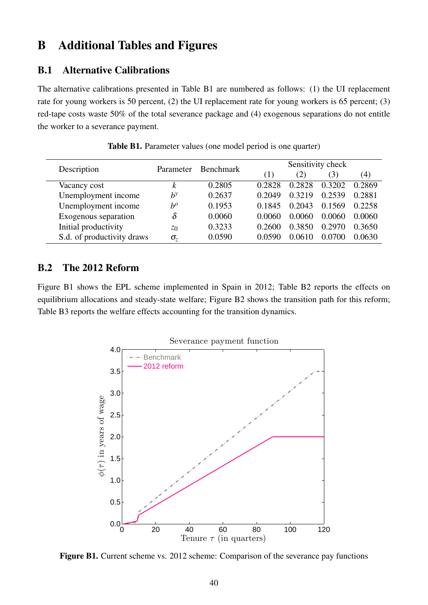# <span id="page-41-0"></span>B Additional Tables and Figures

# <span id="page-41-2"></span>B.1 Alternative Calibrations

The alternative calibrations presented in Table [B1](#page-41-3) are numbered as follows: (1) the UI replacement rate for young workers is 50 percent, (2) the UI replacement rate for young workers is 65 percent; (3) red-tape costs waste 50% of the total severance package and (4) exogenous separations do not entitle the worker to a severance payment.

<span id="page-41-3"></span>

| Description                | Parameter      | <b>Benchmark</b> |                  | Sensitivity check |        |                   |  |
|----------------------------|----------------|------------------|------------------|-------------------|--------|-------------------|--|
|                            |                |                  | $\left(1\right)$ | (2)               | (3)    | $\left( 4\right)$ |  |
| Vacancy cost               | k              | 0.2805           | 0.2828           | 0.2828            | 0.3202 | 0.2869            |  |
| Unemployment income        | $b^y$          | 0.2637           | 0.2049           | 0.3219            | 0.2539 | 0.2881            |  |
| Unemployment income        | $b^o$          | 0.1953           | 0.1845           | 0.2043            | 0.1569 | 0.2258            |  |
| Exogenous separation       |                | 0.0060           | 0.0060           | 0.0060            | 0.0060 | 0.0060            |  |
| Initial productivity       | z <sub>0</sub> | 0.3233           | 0.2600           | 0.3850            | 0.2970 | 0.3650            |  |
| S.d. of productivity draws | $\sigma_z$     | 0.0590           | 0.0590           | 0.0610            | 0.0700 | 0.0630            |  |

Table B1. Parameter values (one model period is one quarter)

# B.2 The 2012 Reform

<span id="page-41-1"></span>Figure [B1](#page-41-1) shows the EPL scheme implemented in Spain in 2012; Table [B2](#page-42-0) reports the effects on equilibrium allocations and steady-state welfare; Figure [B2](#page-43-0) shows the transition path for this reform; Table [B3](#page-42-1) reports the welfare effects accounting for the transition dynamics.



Figure B1. Current scheme vs. 2012 scheme: Comparison of the severance pay functions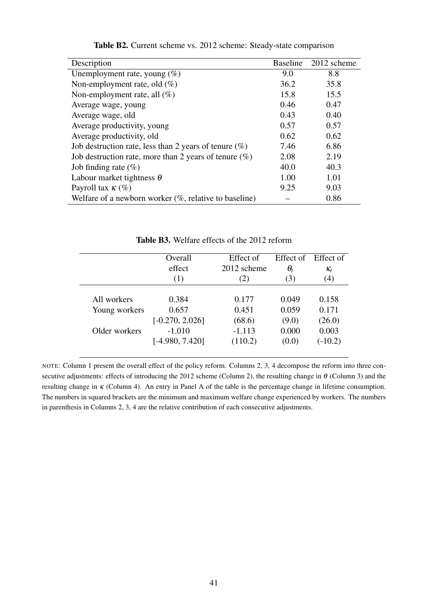<span id="page-42-0"></span>

| Description                                               | <b>Baseline</b> | 2012 scheme |
|-----------------------------------------------------------|-----------------|-------------|
| Unemployment rate, young $(\%)$                           | 9.0             | 8.8         |
| Non-employment rate, old $(\%)$                           | 36.2            | 35.8        |
| Non-employment rate, all $(\%)$                           | 15.8            | 15.5        |
| Average wage, young                                       | 0.46            | 0.47        |
| Average wage, old                                         | 0.43            | 0.40        |
| Average productivity, young                               | 0.57            | 0.57        |
| Average productivity, old                                 | 0.62            | 0.62        |
| Job destruction rate, less than 2 years of tenure $(\%)$  | 7.46            | 6.86        |
| Job destruction rate, more than 2 years of tenure $(\%)$  | 2.08            | 2.19        |
| Job finding rate $(\%)$                                   | 40.0            | 40.3        |
| Labour market tightness $\theta$                          | 1.00            | 1.01        |
| Payroll tax $\kappa$ (%)                                  | 9.25            | 9.03        |
| Welfare of a newborn worker $(\%$ , relative to baseline) |                 | 0.86        |

Table B2. Current scheme vs. 2012 scheme: Steady-state comparison

Table B3. Welfare effects of the 2012 reform

<span id="page-42-1"></span>

|               | Overall           | Effect of   |            | Effect of Effect of |
|---------------|-------------------|-------------|------------|---------------------|
|               | effect            | 2012 scheme | $\theta_t$ | $K_t$               |
|               | (1)               | (2)         | (3)        | (4)                 |
| All workers   | 0.384             | 0.177       | 0.049      | 0.158               |
| Young workers | 0.657             | 0.451       | 0.059      | 0.171               |
|               | $[-0.270, 2.026]$ | (68.6)      | (9.0)      | (26.0)              |
| Older workers | $-1.010$          | $-1.113$    | 0.000      | 0.003               |
|               | $[-4.980, 7.420]$ | (110.2)     | (0.0)      | $(-10.2)$           |

NOTE: Column 1 present the overall effect of the policy reform. Columns 2, 3, 4 decompose the reform into three consecutive adjustments: effects of introducing the 2012 scheme (Column 2), the resulting change in  $\theta$  (Column 3) and the resulting change in κ (Column 4). An entry in Panel A of the table is the percentage change in lifetime consumption. The numbers in squared brackets are the minimum and maximum welfare change experienced by workers. The numbers in parenthesis in Columns 2, 3, 4 are the relative contribution of each consecutive adjustments.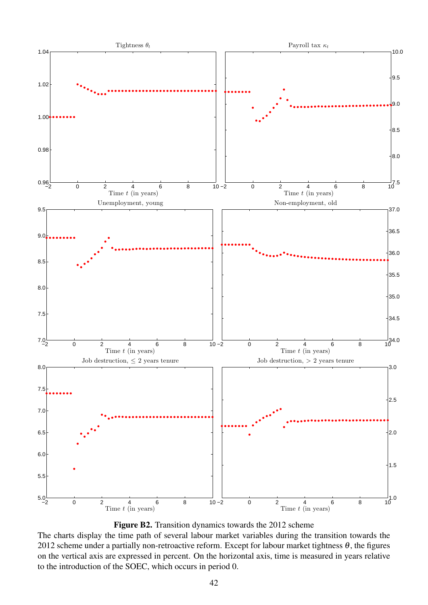<span id="page-43-0"></span>



The charts display the time path of several labour market variables during the transition towards the 2012 scheme under a partially non-retroactive reform. Except for labour market tightness  $\theta$ , the figures on the vertical axis are expressed in percent. On the horizontal axis, time is measured in years relative to the introduction of the SOEC, which occurs in period 0.